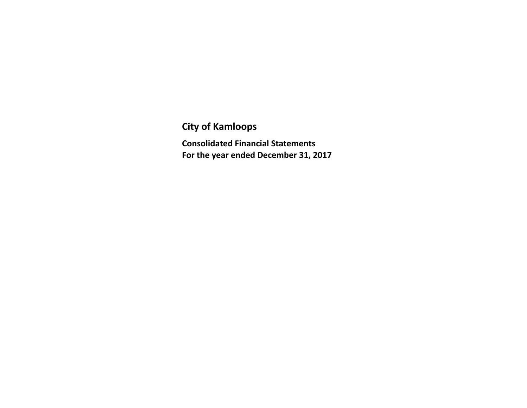# **City of Kamloops**

**Consolidated Financial Statements For the year ended December 31, 2017**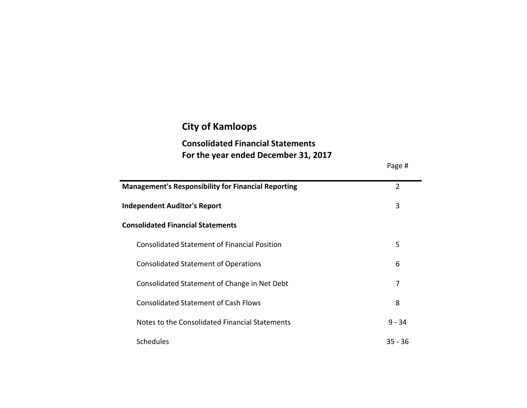# **City of Kamloops**

## **Consolidated Financial Statements For the year ended December 31, 2017**

Page #

| <b>Management's Responsibility for Financial Reporting</b> |          |  |  |  |  |  |
|------------------------------------------------------------|----------|--|--|--|--|--|
| <b>Independent Auditor's Report</b>                        |          |  |  |  |  |  |
| <b>Consolidated Financial Statements</b>                   |          |  |  |  |  |  |
| Consolidated Statement of Financial Position               | 5        |  |  |  |  |  |
| <b>Consolidated Statement of Operations</b>                | 6        |  |  |  |  |  |
| Consolidated Statement of Change in Net Debt               | 7        |  |  |  |  |  |
| <b>Consolidated Statement of Cash Flows</b>                | 8        |  |  |  |  |  |
| Notes to the Consolidated Financial Statements             | $9 - 34$ |  |  |  |  |  |
| <b>Schedules</b>                                           | 35 - 36  |  |  |  |  |  |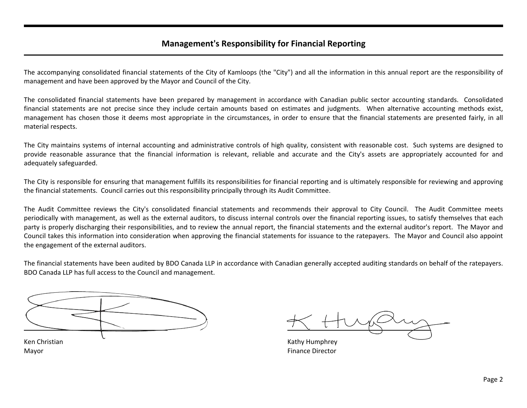## **Management's Responsibility for Financial Reporting**

The accompanying consolidated financial statements of the City of Kamloops (the "City") and all the information in this annual report are the responsibility of management and have been approved by the Mayor and Council of the City.

The consolidated financial statements have been prepared by management in accordance with Canadian public sector accounting standards. Consolidated financial statements are not precise since they include certain amounts based on estimates and judgments. When alternative accounting methods exist, management has chosen those it deems most appropriate in the circumstances, in order to ensure that the financial statements are presented fairly, in all material respects.

The City maintains systems of internal accounting and administrative controls of high quality, consistent with reasonable cost. Such systems are designed to provide reasonable assurance that the financial information is relevant, reliable and accurate and the City's assets are appropriately accounted for and adequately safeguarded.

The City is responsible for ensuring that management fulfills its responsibilities for financial reporting and is ultimately responsible for reviewing and approving the financial statements. Council carries out this responsibility principally through its Audit Committee.

The Audit Committee reviews the City's consolidated financial statements and recommends their approval to City Council. The Audit Committee meets periodically with management, as well as the external auditors, to discuss internal controls over the financial reporting issues, to satisfy themselves that each party is properly discharging their responsibilities, and to review the annual report, the financial statements and the external auditor's report. The Mayor and Council takes this information into consideration when approving the financial statements for issuance to the ratepayers. The Mayor and Council also appoint the engagement of the external auditors.

The financial statements have been audited by BDO Canada LLP in accordance with Canadian generally accepted auditing standards on behalf of the ratepayers. BDO Canada LLP has full access to the Council and management.



Kathy Humphrey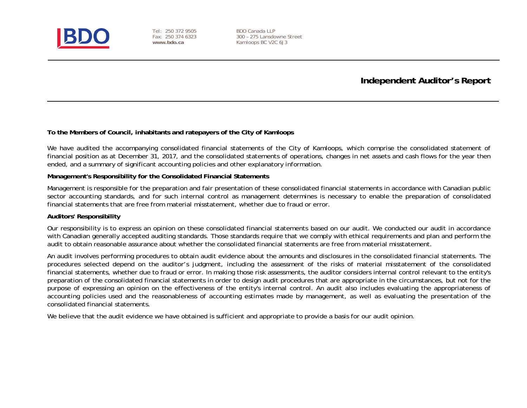

Tel: 250 372 9505 Fax: 250 374 6323 **www.bdo.ca** 

BDO Canada LLP 300 – 275 Lansdowne Street Kamloops BC V2C 6J3

## **Independent Auditor's Report**

### **To the Members of Council, inhabitants and ratepayers of the City of Kamloops**

We have audited the accompanying consolidated financial statements of the City of Kamloops, which comprise the consolidated statement of financial position as at December 31, 2017, and the consolidated statements of operations, changes in net assets and cash flows for the year then ended, and a summary of significant accounting policies and other explanatory information.

### **Management's Responsibility for the Consolidated Financial Statements**

Management is responsible for the preparation and fair presentation of these consolidated financial statements in accordance with Canadian public sector accounting standards, and for such internal control as management determines is necessary to enable the preparation of consolidated financial statements that are free from material misstatement, whether due to fraud or error.

### **Auditors' Responsibility**

Our responsibility is to express an opinion on these consolidated financial statements based on our audit. We conducted our audit in accordance with Canadian generally accepted auditing standards. Those standards require that we comply with ethical requirements and plan and perform the audit to obtain reasonable assurance about whether the consolidated financial statements are free from material misstatement.

An audit involves performing procedures to obtain audit evidence about the amounts and disclosures in the consolidated financial statements. The procedures selected depend on the auditor's judgment, including the assessment of the risks of material misstatement of the consolidated financial statements, whether due to fraud or error. In making those risk assessments, the auditor considers internal control relevant to the entity's preparation of the consolidated financial statements in order to design audit procedures that are appropriate in the circumstances, but not for the purpose of expressing an opinion on the effectiveness of the entity's internal control. An audit also includes evaluating the appropriateness of accounting policies used and the reasonableness of accounting estimates made by management, as well as evaluating the presentation of the consolidated financial statements.

We believe that the audit evidence we have obtained is sufficient and appropriate to provide a basis for our audit opinion.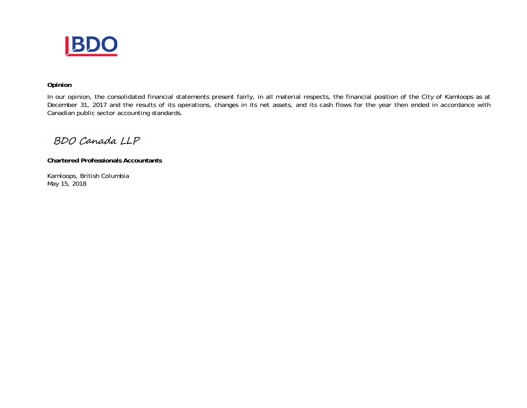

### **Opinion**

In our opinion, the consolidated financial statements present fairly, in all material respects, the financial position of the City of Kamloops as at December 31, 2017 and the results of its operations, changes in its net assets, and its cash flows for the year then ended in accordance with Canadian public sector accounting standards.

BDO Canada LLP

**Chartered Professionals Accountants** 

Kamloops, British Columbia May 15, 2018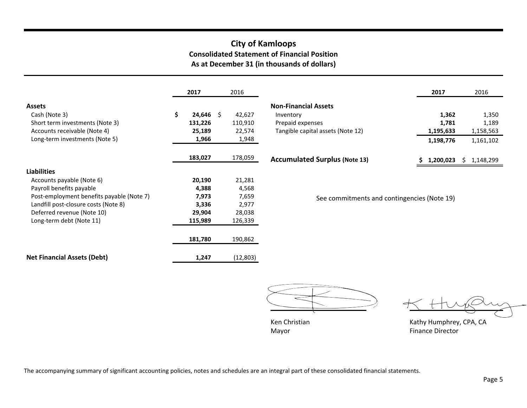## **City of Kamloops Consolidated Statement of Financial Position As at December 31 (in thousands of dollars)**

|                                                                                                                                     | 2017                                            | 2016                                 |                                                                                                   | 2017                                     | 2016                                     |
|-------------------------------------------------------------------------------------------------------------------------------------|-------------------------------------------------|--------------------------------------|---------------------------------------------------------------------------------------------------|------------------------------------------|------------------------------------------|
| <b>Assets</b><br>Cash (Note 3)<br>Short term investments (Note 3)<br>Accounts receivable (Note 4)<br>Long-term investments (Note 5) | \$<br>$24,646$ \$<br>131,226<br>25,189<br>1,966 | 42,627<br>110,910<br>22,574<br>1,948 | <b>Non-Financial Assets</b><br>Inventory<br>Prepaid expenses<br>Tangible capital assets (Note 12) | 1,362<br>1,781<br>1,195,633<br>1,198,776 | 1,350<br>1,189<br>1,158,563<br>1,161,102 |
|                                                                                                                                     | 183,027                                         | 178,059                              | <b>Accumulated Surplus (Note 13)</b>                                                              | 1,200,023                                | 1,148,299<br>S.                          |
| <b>Liabilities</b>                                                                                                                  |                                                 |                                      |                                                                                                   |                                          |                                          |
| Accounts payable (Note 6)                                                                                                           | 20,190                                          | 21,281                               |                                                                                                   |                                          |                                          |
| Payroll benefits payable                                                                                                            | 4,388                                           | 4,568                                |                                                                                                   |                                          |                                          |
| Post-employment benefits payable (Note 7)                                                                                           | 7,973                                           | 7,659                                | See commitments and contingencies (Note 19)                                                       |                                          |                                          |
| Landfill post-closure costs (Note 8)                                                                                                | 3,336                                           | 2,977                                |                                                                                                   |                                          |                                          |
| Deferred revenue (Note 10)                                                                                                          | 29,904                                          | 28,038                               |                                                                                                   |                                          |                                          |
| Long-term debt (Note 11)                                                                                                            | 115,989                                         | 126,339                              |                                                                                                   |                                          |                                          |
|                                                                                                                                     | 181,780                                         | 190,862                              |                                                                                                   |                                          |                                          |
| <b>Net Financial Assets (Debt)</b>                                                                                                  | 1,247                                           | (12, 803)                            |                                                                                                   |                                          |                                          |

Ken Christian Mayor

Kathy Humphrey, CPA, CA Finance Director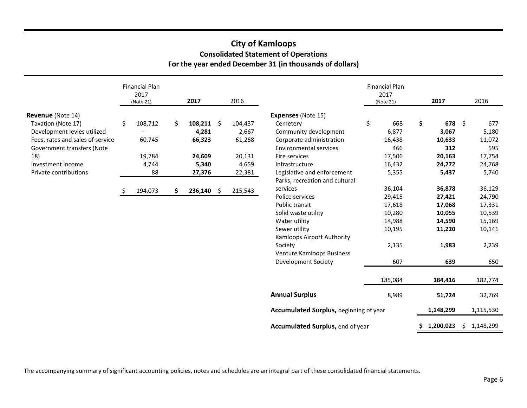## **City of Kamloops Consolidated Statement of Operations For the year ended December 31 (in thousands of dollars)**

|                                         | <b>Financial Plan</b><br>2017<br>(Note 21) |    | 2017         |     | 2016    |                                                                    | <b>Financial Plan</b><br>2017<br>(Note 21) | 2017      |    | 2016      |
|-----------------------------------------|--------------------------------------------|----|--------------|-----|---------|--------------------------------------------------------------------|--------------------------------------------|-----------|----|-----------|
| Revenue (Note 14)<br>Taxation (Note 17) | \$<br>108,712                              | Ś. | $108,211$ \$ |     | 104,437 | <b>Expenses (Note 15)</b><br>Cemetery                              | \$<br>668                                  | \$<br>678 | \$ | 677       |
| Development levies utilized             |                                            |    | 4,281        |     | 2,667   | Community development                                              | 6,877                                      | 3,067     |    | 5,180     |
| Fees, rates and sales of service        | 60,745                                     |    | 66,323       |     | 61,268  | Corporate administration                                           | 16,438                                     | 10,633    |    | 11,072    |
| <b>Government transfers (Note</b>       |                                            |    |              |     |         | <b>Environmental services</b>                                      | 466                                        | 312       |    | 595       |
| 18)                                     | 19,784                                     |    | 24,609       |     | 20,131  | Fire services                                                      | 17,506                                     | 20,163    |    | 17,754    |
| Investment income                       | 4,744                                      |    | 5,340        |     | 4,659   | Infrastructure                                                     | 16,432                                     | 24,272    |    | 24,768    |
| Private contributions                   | 88                                         |    | 27,376       |     | 22,381  | Legislative and enforcement                                        | 5,355                                      | 5,437     |    | 5,740     |
|                                         |                                            |    |              |     |         | Parks, recreation and cultural                                     |                                            |           |    |           |
|                                         | \$<br>194,073                              | Ś. | 236,140      | -\$ | 215,543 | services                                                           | 36,104                                     | 36,878    |    | 36,129    |
|                                         |                                            |    |              |     |         | Police services                                                    | 29,415                                     | 27,421    |    | 24,790    |
|                                         |                                            |    |              |     |         | Public transit                                                     | 17,618                                     | 17,068    |    | 17,331    |
|                                         |                                            |    |              |     |         | Solid waste utility                                                | 10,280                                     | 10,055    |    | 10,539    |
|                                         |                                            |    |              |     |         | Water utility                                                      | 14,988                                     | 14,590    |    | 15,169    |
|                                         |                                            |    |              |     |         | Sewer utility                                                      | 10,195                                     | 11,220    |    | 10,141    |
|                                         |                                            |    |              |     |         | Kamloops Airport Authority<br>Society<br>Venture Kamloops Business | 2,135                                      | 1,983     |    | 2,239     |
|                                         |                                            |    |              |     |         | <b>Development Society</b>                                         | 607                                        | 639       |    | 650       |
|                                         |                                            |    |              |     |         |                                                                    | 185,084                                    | 184,416   |    | 182,774   |
|                                         |                                            |    |              |     |         | <b>Annual Surplus</b>                                              | 8,989                                      | 51,724    |    | 32,769    |
|                                         |                                            |    |              |     |         | Accumulated Surplus, beginning of year                             |                                            | 1,148,299 |    | 1,115,530 |
|                                         |                                            |    |              |     |         | Accumulated Surplus, end of year                                   |                                            | 1,200,023 | S. | 1,148,299 |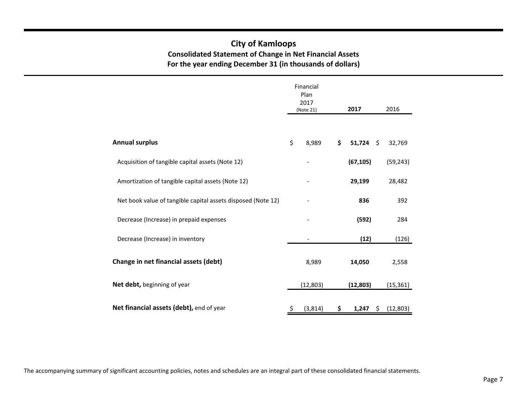## **City of Kamloops Consolidated Statement of Change in Net Financial Assets For the year ending December 31 (in thousands of dollars)**

|                                                              | Financial<br>Plan<br>2017<br>2017<br>(Note 21) |           |    |             |     | 2016      |
|--------------------------------------------------------------|------------------------------------------------|-----------|----|-------------|-----|-----------|
| <b>Annual surplus</b>                                        | \$                                             | 8,989     | \$ | $51,724$ \$ |     | 32,769    |
| Acquisition of tangible capital assets (Note 12)             |                                                |           |    | (67, 105)   |     | (59, 243) |
| Amortization of tangible capital assets (Note 12)            |                                                |           |    | 29,199      |     | 28,482    |
| Net book value of tangible capital assets disposed (Note 12) |                                                |           |    | 836         |     | 392       |
| Decrease (Increase) in prepaid expenses                      |                                                |           |    | (592)       |     | 284       |
| Decrease (Increase) in inventory                             |                                                |           |    | (12)        |     | (126)     |
| Change in net financial assets (debt)                        |                                                | 8,989     |    | 14,050      |     | 2,558     |
| Net debt, beginning of year                                  |                                                | (12, 803) |    | (12, 803)   |     | (15, 361) |
| Net financial assets (debt), end of year                     | \$                                             | (3,814)   | \$ | 1,247       | \$. | (12,803)  |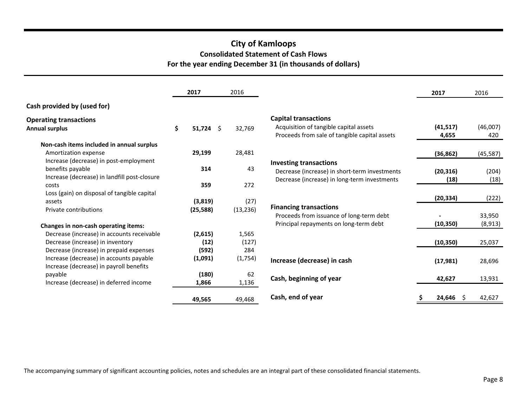## **City of Kamloops Consolidated Statement of Cash Flows For the year ending December 31 (in thousands of dollars)**

|                                              | 2017              | 2016      |                                                                                         | 2017               | 2016            |
|----------------------------------------------|-------------------|-----------|-----------------------------------------------------------------------------------------|--------------------|-----------------|
| Cash provided by (used for)                  |                   |           |                                                                                         |                    |                 |
| <b>Operating transactions</b>                |                   |           | <b>Capital transactions</b>                                                             |                    |                 |
| <b>Annual surplus</b>                        | \$<br>$51,724$ \$ | 32,769    | Acquisition of tangible capital assets<br>Proceeds from sale of tangible capital assets | (41, 517)<br>4,655 | (46,007)<br>420 |
| Non-cash items included in annual surplus    |                   |           |                                                                                         |                    |                 |
| Amortization expense                         | 29,199            | 28,481    |                                                                                         | (36, 862)          | (45, 587)       |
| Increase (decrease) in post-employment       |                   |           | <b>Investing transactions</b>                                                           |                    |                 |
| benefits payable                             | 314               | 43        | Decrease (increase) in short-term investments                                           | (20, 316)          | (204)           |
| Increase (decrease) in landfill post-closure |                   |           | Decrease (increase) in long-term investments                                            | (18)               | (18)            |
| costs                                        | 359               | 272       |                                                                                         |                    |                 |
| Loss (gain) on disposal of tangible capital  |                   |           |                                                                                         | (20, 334)          | (222)           |
| assets                                       | (3,819)           | (27)      |                                                                                         |                    |                 |
| Private contributions                        | (25, 588)         | (13, 236) | <b>Financing transactions</b>                                                           |                    |                 |
|                                              |                   |           | Proceeds from issuance of long-term debt                                                |                    | 33,950          |
| Changes in non-cash operating items:         |                   |           | Principal repayments on long-term debt                                                  | (10, 350)          | (8,913)         |
| Decrease (increase) in accounts receivable   | (2,615)           | 1,565     |                                                                                         |                    |                 |
| Decrease (increase) in inventory             | (12)              | (127)     |                                                                                         | (10, 350)          | 25,037          |
| Decrease (increase) in prepaid expenses      | (592)             | 284       |                                                                                         |                    |                 |
| Increase (decrease) in accounts payable      | (1,091)           | (1,754)   | Increase (decrease) in cash                                                             | (17, 981)          | 28,696          |
| Increase (decrease) in payroll benefits      |                   |           |                                                                                         |                    |                 |
| payable                                      | (180)             | 62        | Cash, beginning of year                                                                 | 42,627             | 13,931          |
| Increase (decrease) in deferred income       | 1,866             | 1,136     |                                                                                         |                    |                 |
|                                              | 49,565            | 49,468    | Cash, end of year                                                                       | 24,646<br>-S       | 42,627          |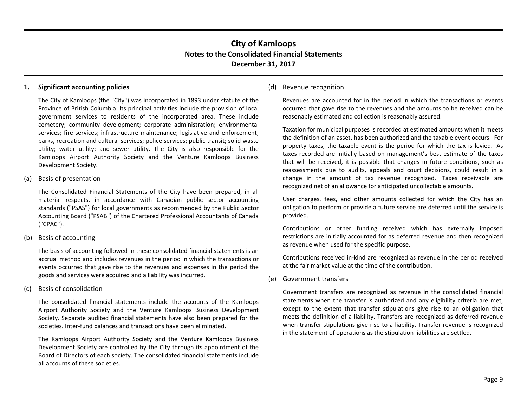### **1. Significant accounting policies**

The City of Kamloops (the "City") was incorporated in 1893 under statute of the Province of British Columbia. Its principal activities include the provision of local government services to residents of the incorporated area. These include cemetery; community development; corporate administration; environmental services; fire services; infrastructure maintenance; legislative and enforcement; parks, recreation and cultural services; police services; public transit; solid waste utility; water utility; and sewer utility. The City is also responsible for the Kamloops Airport Authority Society and the Venture Kamloops Business Development Society.

#### (a) Basis of presentation

The Consolidated Financial Statements of the City have been prepared, in all material respects, in accordance with Canadian public sector accounting standards ("PSAS") for local governments as recommended by the Public Sector Accounting Board ("PSAB") of the Chartered Professional Accountants of Canada ("CPAC").

### (b) Basis of accounting

The basis of accounting followed in these consolidated financial statements is an accrual method and includes revenues in the period in which the transactions or events occurred that gave rise to the revenues and expenses in the period the goods and services were acquired and a liability was incurred.

(c) Basis of consolidation

The consolidated financial statements include the accounts of the Kamloops Airport Authority Society and the Venture Kamloops Business Development Society. Separate audited financial statements have also been prepared for the societies. Inter-fund balances and transactions have been eliminated.

The Kamloops Airport Authority Society and the Venture Kamloops Business Development Society are controlled by the City through its appointment of the Board of Directors of each society. The consolidated financial statements include all accounts of these societies.

### (d) Revenue recognition

Revenues are accounted for in the period in which the transactions or events occurred that gave rise to the revenues and the amounts to be received can be reasonably estimated and collection is reasonably assured.

Taxation for municipal purposes is recorded at estimated amounts when it meets the definition of an asset, has been authorized and the taxable event occurs. For property taxes, the taxable event is the period for which the tax is levied. As taxes recorded are initially based on management's best estimate of the taxes that will be received, it is possible that changes in future conditions, such as reassessments due to audits, appeals and court decisions, could result in a change in the amount of tax revenue recognized. Taxes receivable are recognized net of an allowance for anticipated uncollectable amounts.

User charges, fees, and other amounts collected for which the City has an obligation to perform or provide a future service are deferred until the service is provided.

Contributions or other funding received which has externally imposed restrictions are initially accounted for as deferred revenue and then recognized as revenue when used for the specific purpose.

Contributions received in-kind are recognized as revenue in the period received at the fair market value at the time of the contribution.

(e) Government transfers

Government transfers are recognized as revenue in the consolidated financial statements when the transfer is authorized and any eligibility criteria are met, except to the extent that transfer stipulations give rise to an obligation that meets the definition of a liability. Transfers are recognized as deferred revenue when transfer stipulations give rise to a liability. Transfer revenue is recognized in the statement of operations as the stipulation liabilities are settled.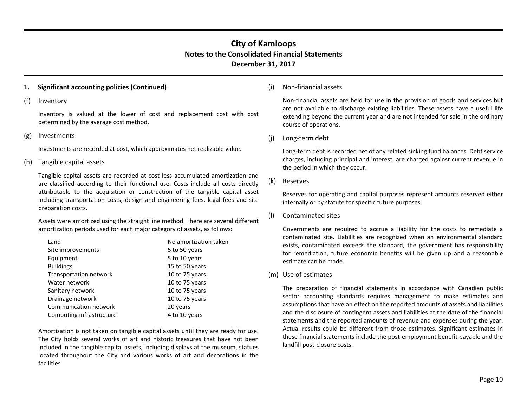### **1. Significant accounting policies (Continued)**

### (f) Inventory

Inventory is valued at the lower of cost and replacement cost with cost determined by the average cost method.

### (g) Investments

Investments are recorded at cost, which approximates net realizable value.

### (h) Tangible capital assets

Tangible capital assets are recorded at cost less accumulated amortization and are classified according to their functional use. Costs include all costs directly attributable to the acquisition or construction of the tangible capital asset including transportation costs, design and engineering fees, legal fees and site preparation costs.

Assets were amortized using the straight line method. There are several different amortization periods used for each major category of assets, as follows:

| Land                     | No amortization taken |
|--------------------------|-----------------------|
| Site improvements        | 5 to 50 years         |
| Equipment                | 5 to 10 years         |
| <b>Buildings</b>         | 15 to 50 years        |
| Transportation network   | 10 to 75 years        |
| Water network            | 10 to 75 years        |
| Sanitary network         | 10 to 75 years        |
| Drainage network         | 10 to 75 years        |
| Communication network    | 20 years              |
| Computing infrastructure | 4 to 10 years         |

Amortization is not taken on tangible capital assets until they are ready for use. The City holds several works of art and historic treasures that have not been included in the tangible capital assets, including displays at the museum, statues located throughout the City and various works of art and decorations in the facilities.

### (i) Non-financial assets

Non-financial assets are held for use in the provision of goods and services but are not available to discharge existing liabilities. These assets have a useful life extending beyond the current year and are not intended for sale in the ordinary course of operations.

### (j) Long-term debt

Long-term debt is recorded net of any related sinking fund balances. Debt service charges, including principal and interest, are charged against current revenue in the period in which they occur.

(k) Reserves

Reserves for operating and capital purposes represent amounts reserved either internally or by statute for specific future purposes.

(l) Contaminated sites

Governments are required to accrue a liability for the costs to remediate a contaminated site. Liabilities are recognized when an environmental standard exists, contaminated exceeds the standard, the government has responsibility for remediation, future economic benefits will be given up and a reasonable estimate can be made.

### (m) Use of estimates

The preparation of financial statements in accordance with Canadian public sector accounting standards requires management to make estimates and assumptions that have an effect on the reported amounts of assets and liabilities and the disclosure of contingent assets and liabilities at the date of the financial statements and the reported amounts of revenue and expenses during the year. Actual results could be different from those estimates. Significant estimates in these financial statements include the post-employment benefit payable and the landfill post-closure costs.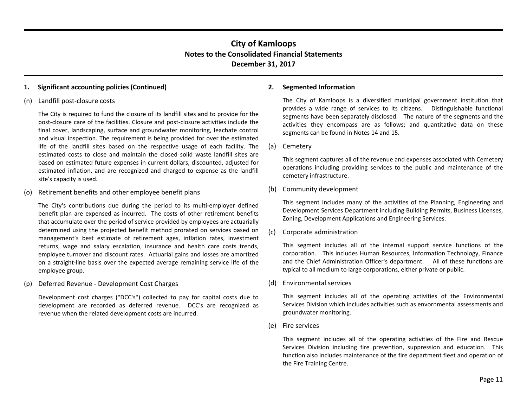### **1. Significant accounting policies (Continued)**

### (n) Landfill post-closure costs

The City is required to fund the closure of its landfill sites and to provide for the post-closure care of the facilities. Closure and post-closure activities include the final cover, landscaping, surface and groundwater monitoring, leachate control and visual inspection. The requirement is being provided for over the estimated life of the landfill sites based on the respective usage of each facility. The estimated costs to close and maintain the closed solid waste landfill sites arebased on estimated future expenses in current dollars, discounted, adjusted for estimated inflation, and are recognized and charged to expense as the landfill site's capacity is used.

(o) Retirement benefits and other employee benefit plans

The City's contributions due during the period to its multi-employer defined benefit plan are expensed as incurred. The costs of other retirement benefits that accumulate over the period of service provided by employees are actuarially determined using the projected benefit method prorated on services based on management's best estimate of retirement ages, inflation rates, investment returns, wage and salary escalation, insurance and health care costs trends, employee turnover and discount rates. Actuarial gains and losses are amortized on a straight-line basis over the expected average remaining service life of the employee group.

(p) Deferred Revenue - Development Cost Charges

Development cost charges ("DCC's") collected to pay for capital costs due to development are recorded as deferred revenue. DCC's are recognized as revenue when the related development costs are incurred.

### **2. Segmented Information**

The City of Kamloops is a diversified municipal government institution that provides a wide range of services to its citizens. Distinguishable functional segments have been separately disclosed. The nature of the segments and the activities they encompass are as follows; and quantitative data on these segments can be found in Notes 14 and 15.

(a) Cemetery

This segment captures all of the revenue and expenses associated with Cemetery operations including providing services to the public and maintenance of the cemetery infrastructure.

(b) Community development

This segment includes many of the activities of the Planning, Engineering and Development Services Department including Building Permits, Business Licenses, Zoning, Development Applications and Engineering Services.

(c) Corporate administration

This segment includes all of the internal support service functions of the corporation. This includes Human Resources, Information Technology, Finance and the Chief Administration Officer's department. All of these functions are typical to all medium to large corporations, either private or public.

(d) Environmental services

This segment includes all of the operating activities of the Environmental Services Division which includes activities such as envornmental assessments andgroundwater monitoring.

(e) Fire services

This segment includes all of the operating activities of the Fire and Rescue Services Division including fire prevention, suppression and education. This function also includes maintenance of the fire department fleet and operation of the Fire Training Centre.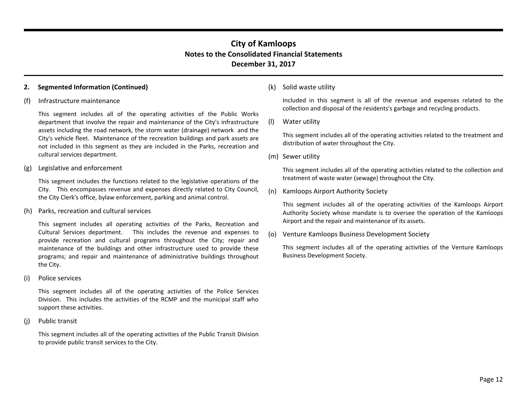### **2. Segmented Information (Continued)**

#### (f) Infrastructure maintenance

This segment includes all of the operating activities of the Public Works department that involve the repair and maintenance of the City's infrastructure assets including the road network, the storm water (drainage) network and the City's vehicle fleet. Maintenance of the recreation buildings and park assets are not included in this segment as they are included in the Parks, recreation and cultural services department.

#### (g) Legislative and enforcement

This segment includes the functions related to the legislative operations of the City. This encompasses revenue and expenses directly related to City Council, the City Clerk's office, bylaw enforcement, parking and animal control.

#### (h) Parks, recreation and cultural services

This segment includes all operating activities of the Parks, Recreation and Cultural Services department. This includes the revenue and expenses to provide recreation and cultural programs throughout the City; repair and maintenance of the buildings and other infrastructure used to provide these programs; and repair and maintenance of administrative buildings throughout the City.

### (i) Police services

This segment includes all of the operating activities of the Police Services Division. This includes the activities of the RCMP and the municipal staff who support these activities.

### (j) Public transit

This segment includes all of the operating activities of the Public Transit Division to provide public transit services to the City.

### (k) Solid waste utility

Included in this segment is all of the revenue and expenses related to the collection and disposal of the residents's garbage and recycling products.

(l) Water utility

This segment includes all of the operating activities related to the treatment and distribution of water throughout the City.

(m) Sewer utility

This segment includes all of the operating activities related to the collection and treatment of waste water (sewage) throughout the City.

(n) Kamloops Airport Authority Society

This segment includes all of the operating activities of the Kamloops Airport Authority Society whose mandate is to oversee the operation of the Kamloops Airport and the repair and maintenance of its assets.

(o) Venture Kamloops Business Development Society

This segment includes all of the operating activities of the Venture Kamloops Business Development Society.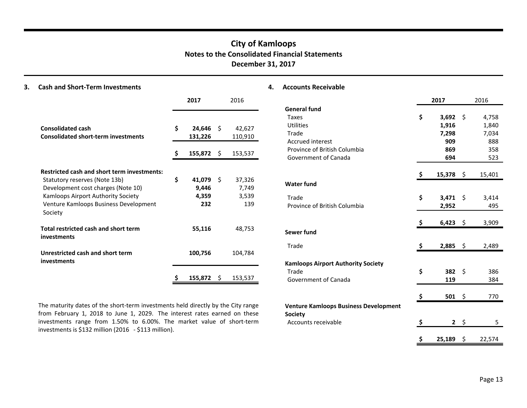#### **3. Cash and Short-Term Investments**

**4. Accounts Receivable**

|                                                                                                                                                                                                                     | 2017                                  |      | 2016                            |  |
|---------------------------------------------------------------------------------------------------------------------------------------------------------------------------------------------------------------------|---------------------------------------|------|---------------------------------|--|
| <b>Consolidated cash</b><br><b>Consolidated short-term investments</b>                                                                                                                                              | \$<br>24,646<br>131,226               | - \$ | 42,627<br>110,910               |  |
|                                                                                                                                                                                                                     | \$<br>155,872                         | - \$ | 153,537                         |  |
| <b>Restricted cash and short term investments:</b><br>Statutory reserves (Note 13b)<br>Development cost charges (Note 10)<br>Kamloops Airport Authority Society<br>Venture Kamloops Business Development<br>Society | \$<br>41,079<br>9,446<br>4,359<br>232 | - \$ | 37,326<br>7,749<br>3,539<br>139 |  |
| Total restricted cash and short term<br>investments                                                                                                                                                                 | 55,116                                |      | 48,753                          |  |
| Unrestricted cash and short term<br>investments                                                                                                                                                                     | 100,756                               |      | 104,784                         |  |
|                                                                                                                                                                                                                     | \$<br>155,872                         | - \$ | 153,537                         |  |

The maturity dates of the short-term investments held directly by the City range from February 1, 2018 to June 1, 2029. The interest rates earned on these investments range from 1.50% to 6.00%. The market value of short-term investments is \$132 million (2016 - \$113 million).

|                                              | 2017 |        |                     | 2016   |  |  |
|----------------------------------------------|------|--------|---------------------|--------|--|--|
| <b>General fund</b>                          |      |        |                     |        |  |  |
| <b>Taxes</b>                                 | \$   | 3,692  | \$                  | 4,758  |  |  |
| <b>Utilities</b>                             |      | 1,916  |                     | 1,840  |  |  |
| Trade                                        |      | 7,298  |                     | 7,034  |  |  |
| <b>Accrued interest</b>                      |      | 909    |                     | 888    |  |  |
| Province of British Columbia                 |      | 869    |                     | 358    |  |  |
| Government of Canada                         |      | 694    |                     | 523    |  |  |
|                                              |      | 15,378 |                     |        |  |  |
| <b>Water fund</b>                            | \$   |        | \$.                 | 15,401 |  |  |
|                                              |      |        |                     |        |  |  |
| Trade                                        | \$   | 3,471  | \$                  | 3,414  |  |  |
| Province of British Columbia                 |      | 2,952  |                     | 495    |  |  |
|                                              |      |        |                     |        |  |  |
|                                              | \$   | 6,423  | - \$                | 3,909  |  |  |
| Sewer fund                                   |      |        |                     |        |  |  |
| Trade                                        | \$   | 2,885  | - \$                | 2,489  |  |  |
| <b>Kamloops Airport Authority Society</b>    |      |        |                     |        |  |  |
| Trade                                        | \$   | 382    | \$                  | 386    |  |  |
| Government of Canada                         |      | 119    |                     | 384    |  |  |
|                                              |      |        |                     |        |  |  |
|                                              | \$   | 501    | $\ddot{\mathsf{s}}$ | 770    |  |  |
| <b>Venture Kamloops Business Development</b> |      |        |                     |        |  |  |
| <b>Society</b>                               |      |        |                     |        |  |  |
| Accounts receivable                          | \$   | 2      | \$                  | 5      |  |  |
|                                              | \$   | 25,189 | \$                  | 22,574 |  |  |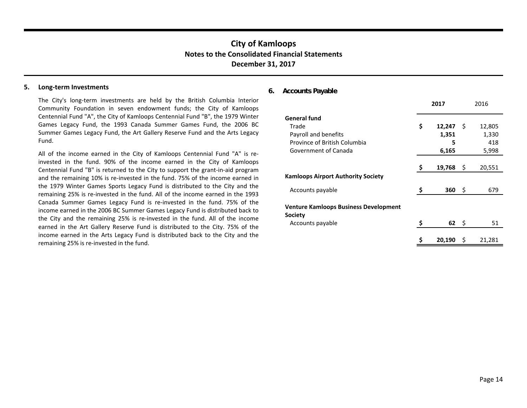#### **5. Long-term Investments**

The City's long-term investments are held by the British Columbia Interior Community Foundation in seven endowment funds; the City of Kamloops Centennial Fund "A", the City of Kamloops Centennial Fund "B", the 1979 Winter Games Legacy Fund, the 1993 Canada Summer Games Fund, the 2006 BC Summer Games Legacy Fund, the Art Gallery Reserve Fund and the Arts Legacy Fund.

All of the income earned in the City of Kamloops Centennial Fund "A" is reinvested in the fund. 90% of the income earned in the City of Kamloops Centennial Fund "B" is returned to the City to support the grant-in-aid program and the remaining 10% is re-invested in the fund. 75% of the income earned in the 1979 Winter Games Sports Legacy Fund is distributed to the City and the remaining 25% is re-invested in the fund. All of the income earned in the 1993 Canada Summer Games Legacy Fund is re-invested in the fund. 75% of the income earned in the 2006 BC Summer Games Legacy Fund is distributed back to the City and the remaining 25% is re-invested in the fund. All of the income earned in the Art Gallery Reserve Fund is distributed to the City. 75% of the income earned in the Arts Legacy Fund is distributed back to the City and the remaining 25% is re-invested in the fund.

### **6. Accounts Payable**

|                                                                | 2017                |     | 2016   |
|----------------------------------------------------------------|---------------------|-----|--------|
| <b>General fund</b>                                            |                     |     |        |
| Trade                                                          | \$<br>$12,247$ \$   |     | 12,805 |
| Payroll and benefits                                           | 1,351               |     | 1,330  |
| Province of British Columbia                                   | 5                   |     | 418    |
| Government of Canada                                           | 6,165               |     | 5,998  |
|                                                                |                     |     |        |
|                                                                | \$<br>19,768        | \$. | 20,551 |
| <b>Kamloops Airport Authority Society</b>                      |                     |     |        |
| Accounts payable                                               | \$<br>$360 \quad 5$ |     | 679    |
| <b>Venture Kamloops Business Development</b><br><b>Society</b> |                     |     |        |
| Accounts payable                                               | 62 <sup>°</sup>     |     | 51     |
|                                                                | 20,190              |     | 21,281 |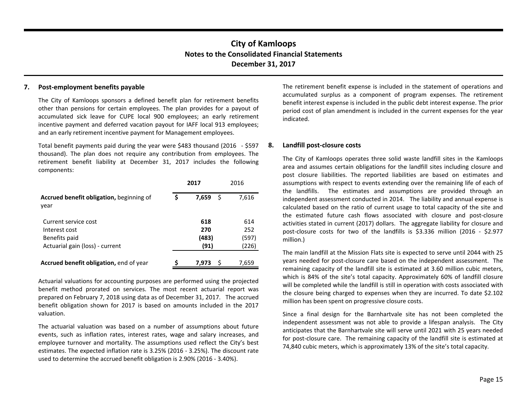### **7. Post-employment benefits payable**

The City of Kamloops sponsors a defined benefit plan for retirement benefits other than pensions for certain employees. The plan provides for a payout of accumulated sick leave for CUPE local 900 employees; an early retirement incentive payment and deferred vacation payout for IAFF local 913 employees; and an early retirement incentive payment for Management employees.

Total benefit payments paid during the year were \$483 thousand (2016 - \$597 thousand). The plan does not require any contribution from employees. The retirement benefit liability at December 31, 2017 includes the following components:

|                                                                                           | 2017                        | 2016                         |
|-------------------------------------------------------------------------------------------|-----------------------------|------------------------------|
| Accrued benefit obligation, beginning of<br>year                                          | \$<br>7,659<br>\$           | 7,616                        |
| Current service cost<br>Interest cost<br>Benefits paid<br>Actuarial gain (loss) - current | 618<br>270<br>(483)<br>(91) | 614<br>252<br>(597)<br>(226) |
| Accrued benefit obligation, end of year                                                   | 7,973<br>S                  | 7,659                        |

Actuarial valuations for accounting purposes are performed using the projected benefit method prorated on services. The most recent actuarial report was prepared on February 7, 2018 using data as of December 31, 2017. The accrued benefit obligation shown for 2017 is based on amounts included in the 2017 valuation.

The actuarial valuation was based on a number of assumptions about future events, such as inflation rates, interest rates, wage and salary increases, and employee turnover and mortality. The assumptions used reflect the City's best estimates. The expected inflation rate is 3.25% (2016 - 3.25%). The discount rate used to determine the accrued benefit obligation is 2.90% (2016 - 3.40%).

The retirement benefit expense is included in the statement of operations and accumulated surplus as a component of program expenses. The retirement benefit interest expense is included in the public debt interest expense. The prior period cost of plan amendment is included in the current expenses for the year indicated.

### **8. Landfill post-closure costs**

The City of Kamloops operates three solid waste landfill sites in the Kamloops area and assumes certain obligations for the landfill sites including closure and post closure liabilities. The reported liabilities are based on estimates and assumptions with respect to events extending over the remaining life of each of the landfills. The estimates and assumptions are provided through an independent assessment conducted in 2014. The liability and annual expense is calculated based on the ratio of current usage to total capacity of the site and the estimated future cash flows associated with closure and post-closure activities stated in current (2017) dollars. The aggregate liability for closure and post-closure costs for two of the landfills is \$3.336 million (2016 - \$2.977 million.)

The main landfill at the Mission Flats site is expected to serve until 2044 with 25 years needed for post-closure care based on the independent assessment. The remaining capacity of the landfill site is estimated at 3.60 million cubic meters, which is 84% of the site's total capacity. Approximately 60% of landfill closure will be completed while the landfill is still in operation with costs associated with the closure being charged to expenses when they are incurred. To date \$2.102 million has been spent on progressive closure costs.

Since a final design for the Barnhartvale site has not been completed the independent assessment was not able to provide a lifespan analysis. The City anticipates that the Barnhartvale site will serve until 2021 with 25 years needed for post-closure care. The remaining capacity of the landfill site is estimated at 74,840 cubic meters, which is approximately 13% of the site's total capacity.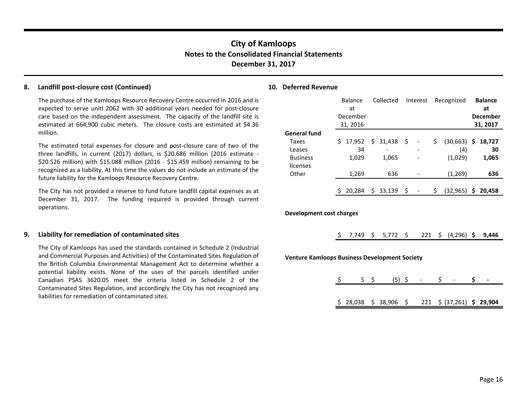### **8. Landfill post-closure cost (Continued)**

The purchase of the Kamloops Resource Recovery Centre occurred in 2016 and is expected to serve unitl 2062 with 30 additional years needed for post-closure care based on the independent assessment. The capacity of the landfill site is estimated at 664,900 cubic meters. The closure costs are estimated at \$4.36 million.

The estimated total expenses for closure and post-closure care of two of the three landfills, in current (2017) dollars, is \$20.686 million (2016 estimate - \$20.526 million) with \$15.088 million (2016 - \$15.459 million) remaining to be recognized as a liability. At this time the values do not include an estimate of the future liability for the Kamloops Resource Recovery Centre.

The City has not provided a reserve to fund future landfill capital expenses as at December 31, 2017. The funding required is provided through current operations.

### **9. Liability for remediation of contaminated sites**

The City of Kamloops has used the standards contained in Schedule 2 (Industrial and Commercial Purposes and Activities) of the Contaminated Sites Regulation of the British Columbia Environmental Management Act to determine whether a potential liability exists. None of the uses of the parcels identified under Canadian PSAS 3620.05 meet the criteria listed in Schedule 2 of the Contaminated Sites Regulation, and accordingly the City has not recognized any liabilities for remediation of contaminated sites.

### **10. Deferred Revenue**

|                             |    | Balance<br>at<br>December<br>31, 2016 | Collected                |      | Interest |    | Recognized  |  | <b>Balance</b><br>at<br><b>December</b><br>31, 2017 |
|-----------------------------|----|---------------------------------------|--------------------------|------|----------|----|-------------|--|-----------------------------------------------------|
| <b>General fund</b>         |    |                                       |                          |      |          |    |             |  |                                                     |
| Taxes                       | S. | 17,952                                | \$31,438                 | - \$ |          | \$ | (30,663) \$ |  | 18,727                                              |
| Leases                      |    | 34                                    | $\overline{\phantom{0}}$ |      |          |    | (4)         |  | 30                                                  |
| <b>Business</b><br>licenses |    | 1,029                                 | 1,065                    |      |          |    | (1,029)     |  | 1,065                                               |
| Other                       |    | 1,269                                 | 636                      |      |          |    | (1, 269)    |  | 636                                                 |
|                             |    |                                       |                          |      |          |    |             |  |                                                     |
|                             |    | 20,284                                | \$33,139                 | \$   |          | \$ | (32,965)    |  | 20,458                                              |

**Development cost charges**

|  | $$7,749$ $$5,772$ $$221$ $$(4,296)$ $$9,446$ |  |  |  |
|--|----------------------------------------------|--|--|--|
|  |                                              |  |  |  |

**Venture Kamloops Business Development Society**

|  |  | (5) |  |                                                      |  |
|--|--|-----|--|------------------------------------------------------|--|
|  |  |     |  |                                                      |  |
|  |  |     |  | $$28,038$$ $$38,906$$ $$221$$ $$(37,261)$$ $$29,904$ |  |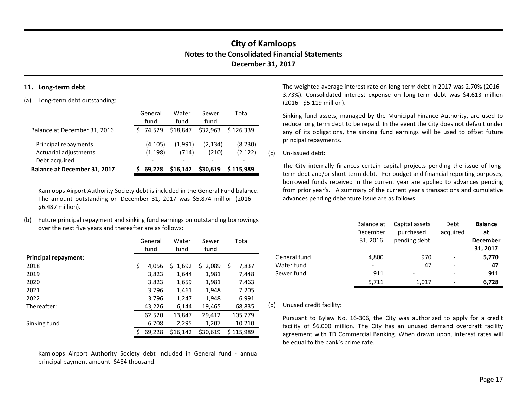#### **11. Long-term debt**

#### (a) Long-term debt outstanding:

|                                     |  | General    | Water    | Sewer    | Total     |
|-------------------------------------|--|------------|----------|----------|-----------|
|                                     |  | fund       | fund     | fund     |           |
| Balance at December 31, 2016        |  | $5$ 74.529 | \$18.847 | \$32.963 | \$126.339 |
| Principal repayments                |  | (4, 105)   | (1,991)  | (2, 134) | (8, 230)  |
| Actuarial adjustments               |  | (1, 198)   | (714)    | (210)    | (2, 122)  |
| Debt acquired                       |  |            |          |          |           |
| <b>Balance at December 31, 2017</b> |  | 69.228     | \$16.142 | \$30.619 | \$115,989 |

Kamloops Airport Authority Society debt is included in the General Fund balance. The amount outstanding on December 31, 2017 was \$5.874 million (2016 - \$6.487 million).

(b) Future principal repayment and sinking fund earnings on outstanding borrowings over the next five years and thereafter are as follows:

|                             | General     | Water    | Sewer    | Total       |
|-----------------------------|-------------|----------|----------|-------------|
|                             | fund        | fund     | fund     |             |
| <b>Principal repayment:</b> |             |          |          |             |
| 2018                        | \$<br>4,056 | \$1,692  | \$2,089  | \$<br>7,837 |
| 2019                        | 3,823       | 1,644    | 1,981    | 7,448       |
| 2020                        | 3,823       | 1,659    | 1,981    | 7,463       |
| 2021                        | 3,796       | 1,461    | 1,948    | 7,205       |
| 2022                        | 3,796       | 1,247    | 1,948    | 6,991       |
| Thereafter:                 | 43,226      | 6,144    | 19,465   | 68,835      |
|                             | 62,520      | 13,847   | 29,412   | 105,779     |
| Sinking fund                | 6,708       | 2,295    | 1,207    | 10,210      |
|                             | 69,228      | \$16,142 | \$30,619 | \$115,989   |

Kamloops Airport Authority Society debt included in General fund - annual principal payment amount: \$484 thousand.

The weighted average interest rate on long-term debt in 2017 was 2.70% (2016 - 3.73%). Consolidated interest expense on long-term debt was \$4.613 million (2016 - \$5.119 million).

Sinking fund assets, managed by the Municipal Finance Authority, are used to reduce long term debt to be repaid. In the event the City does not default under any of its obligations, the sinking fund earnings will be used to offset future principal repayments.

(c) Un-issued debt:

The City internally finances certain capital projects pending the issue of longterm debt and/or short-term debt. For budget and financial reporting purposes, borrowed funds received in the current year are applied to advances pending from prior year's. A summary of the current year's transactions and cumulative advances pending debenture issue are as follows:

|              | Balance at<br>December | Capital assets<br>purchased | Debt<br>acquired | <b>Balance</b><br>at        |
|--------------|------------------------|-----------------------------|------------------|-----------------------------|
|              | 31, 2016               | pending debt                |                  | <b>December</b><br>31, 2017 |
| General fund | 4,800                  | 970                         |                  | 5,770                       |
| Water fund   |                        | 47                          |                  | 47                          |
| Sewer fund   | 911                    | -                           |                  | 911                         |
|              | 5,711                  | 1,017                       |                  | 6,728                       |

#### (d) Unused credit facility:

Pursuant to Bylaw No. 16-306, the City was authorized to apply for a credit facility of \$6.000 million. The City has an unused demand overdraft facility agreement with TD Commercial Banking. When drawn upon, interest rates will be equal to the bank's prime rate.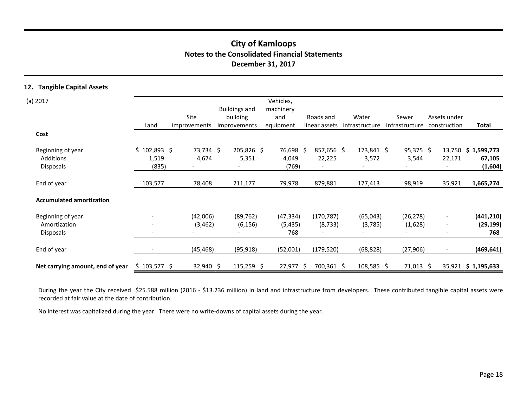### **12. Tangible Capital Assets**

| (a) 2017                         |               |              | <b>Buildings and</b> | Vehicles,<br>machinery |               |                |                |                          |                     |
|----------------------------------|---------------|--------------|----------------------|------------------------|---------------|----------------|----------------|--------------------------|---------------------|
|                                  |               | Site         | building             | and                    | Roads and     | Water          | Sewer          | Assets under             |                     |
|                                  | Land          | improvements | improvements         | equipment              | linear assets | infrastructure | infrastructure | construction             | <b>Total</b>        |
| Cost                             |               |              |                      |                        |               |                |                |                          |                     |
| Beginning of year                | \$102,893\$   | 73,734 \$    | 205,826 \$           | 76,698 \$              | 857,656 \$    | 173,841 \$     | $95,375$ \$    |                          | 13,750 \$ 1,599,773 |
| <b>Additions</b>                 | 1,519         | 4,674        | 5,351                | 4,049                  | 22,225        | 3,572          | 3,544          | 22,171                   | 67,105              |
| <b>Disposals</b>                 | (835)         |              |                      | (769)                  |               |                |                |                          | (1,604)             |
| End of year                      | 103,577       | 78,408       | 211,177              | 79,978                 | 879,881       | 177,413        | 98,919         | 35,921                   | 1,665,274           |
| <b>Accumulated amortization</b>  |               |              |                      |                        |               |                |                |                          |                     |
| Beginning of year                |               | (42,006)     | (89, 762)            | (47, 334)              | (170, 787)    | (65, 043)      | (26, 278)      |                          | (441, 210)          |
| Amortization                     |               | (3, 462)     | (6, 156)             | (5, 435)               | (8, 733)      | (3,785)        | (1,628)        | $\overline{\phantom{a}}$ | (29, 199)           |
| <b>Disposals</b>                 |               |              |                      | 768                    |               |                |                |                          | 768                 |
| End of year                      |               | (45, 468)    | (95, 918)            | (52,001)               | (179, 520)    | (68, 828)      | (27, 906)      |                          | (469, 641)          |
| Net carrying amount, end of year | $$103,577$ \$ | 32,940 \$    | $115,259$ \$         | 27,977 \$              | 700,361 \$    | 108,585 \$     | $71,013$ \$    |                          | 35,921 \$ 1,195,633 |

During the year the City received \$25.588 million (2016 - \$13.236 million) in land and infrastructure from developers. These contributed tangible capital assets were recorded at fair value at the date of contribution.

No interest was capitalized during the year. There were no write-downs of capital assets during the year.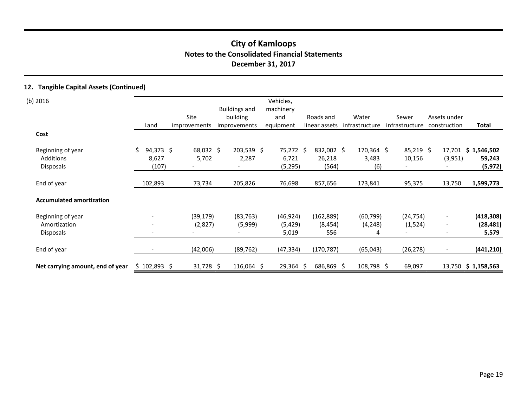## **12. Tangible Capital Assets (Continued)**

| (b) 2016                                       |                                     | Site                 | <b>Buildings and</b><br>building | Vehicles,<br>machinery<br>and  | Roads and                     | Water                        | Sewer                 | Assets under                                                                     |                                          |
|------------------------------------------------|-------------------------------------|----------------------|----------------------------------|--------------------------------|-------------------------------|------------------------------|-----------------------|----------------------------------------------------------------------------------|------------------------------------------|
|                                                | Land                                | improvements         | improvements                     | equipment                      | linear assets                 | infrastructure               | infrastructure        | construction                                                                     | Total                                    |
| Cost                                           |                                     |                      |                                  |                                |                               |                              |                       |                                                                                  |                                          |
| Beginning of year<br>Additions<br>Disposals    | Ś.<br>$94,373$ \$<br>8,627<br>(107) | 68,032 \$<br>5,702   | $203,539$ \$<br>2,287            | 75,272 \$<br>6,721<br>(5, 295) | 832,002 \$<br>26,218<br>(564) | $170,364$ \$<br>3,483<br>(6) | $85,219$ \$<br>10,156 | (3,951)                                                                          | 17,701 \$1,546,502<br>59,243<br>(5, 972) |
| End of year                                    | 102,893                             | 73,734               | 205,826                          | 76,698                         | 857,656                       | 173,841                      | 95,375                | 13,750                                                                           | 1,599,773                                |
| <b>Accumulated amortization</b>                |                                     |                      |                                  |                                |                               |                              |                       |                                                                                  |                                          |
| Beginning of year<br>Amortization<br>Disposals |                                     | (39, 179)<br>(2,827) | (83, 763)<br>(5,999)             | (46, 924)<br>(5, 429)<br>5,019 | (162, 889)<br>(8, 454)<br>556 | (60, 799)<br>(4, 248)<br>4   | (24, 754)<br>(1,524)  | $\overline{\phantom{a}}$<br>$\overline{\phantom{a}}$<br>$\overline{\phantom{a}}$ | (418, 308)<br>(28, 481)<br>5,579         |
| End of year                                    |                                     | (42,006)             | (89, 762)                        | (47, 334)                      | (170, 787)                    | (65, 043)                    | (26, 278)             |                                                                                  | (441, 210)                               |
| Net carrying amount, end of year               | \$102,893\$                         | $31,728$ \$          | $116,064$ \$                     | $29,364$ \$                    | 686,869 \$                    | 108,798 \$                   | 69,097                |                                                                                  | 13,750 \$1,158,563                       |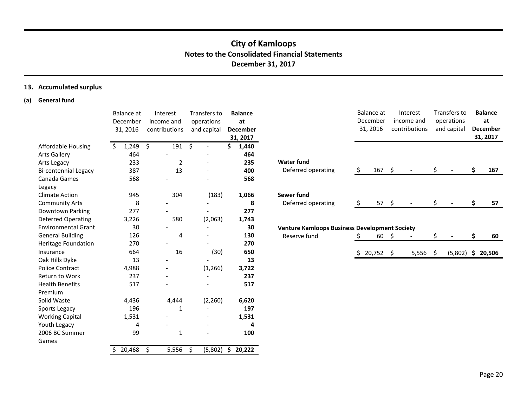### **13. Accumulated surplus**

### **(a) General fund**

|                            |    | <b>Balance</b> at | Interest      |             | Transfers to  | <b>Balance</b>  |
|----------------------------|----|-------------------|---------------|-------------|---------------|-----------------|
|                            |    | December          | income and    |             | operations    | at              |
|                            |    | 31, 2016          | contributions |             | and capital   | <b>December</b> |
|                            |    |                   |               |             |               | 31, 2017        |
| Affordable Housing         | \$ | 1,249             | \$            | 191         | \$            | \$<br>1,440     |
| <b>Arts Gallery</b>        |    | 464               |               |             |               | 464             |
| Arts Legacy                |    | 233               |               | 2           |               | 235             |
| Bi-centennial Legacy       |    | 387               |               | 13          |               | 400             |
| Canada Games               |    | 568               |               |             |               | 568             |
| Legacy                     |    |                   |               |             |               |                 |
| <b>Climate Action</b>      |    | 945               |               | 304         | (183)         | 1,066           |
| <b>Community Arts</b>      |    | 8                 |               |             |               | 8               |
| Downtown Parking           |    | 277               |               |             |               | 277             |
| <b>Deferred Operating</b>  |    | 3,226             |               | 580         | (2,063)       | 1,743           |
| <b>Environmental Grant</b> |    | 30                |               |             |               | 30              |
| <b>General Building</b>    |    | 126               |               | 4           |               | 130             |
| <b>Heritage Foundation</b> |    | 270               |               |             |               | 270             |
| Insurance                  |    | 664               |               | 16          | (30)          | 650             |
| Oak Hills Dyke             |    | 13                |               |             |               | 13              |
| <b>Police Contract</b>     |    | 4,988             |               |             | (1, 266)      | 3,722           |
| <b>Return to Work</b>      |    | 237               |               |             |               | 237             |
| <b>Health Benefits</b>     |    | 517               |               |             |               | 517             |
| Premium                    |    |                   |               |             |               |                 |
| Solid Waste                |    | 4,436             |               | 4,444       | (2,260)       | 6,620           |
| Sports Legacy              |    | 196               |               | 1           |               | 197             |
| <b>Working Capital</b>     |    | 1,531             |               |             |               | 1,531           |
| Youth Legacy               |    | 4                 |               |             |               | 4               |
| 2006 BC Summer             |    | 99                |               | $\mathbf 1$ |               | 100             |
| Games                      |    |                   |               |             |               |                 |
|                            | Ś  | 20,468            | \$            | 5,556       | \$<br>(5,802) | \$<br>20,222    |

|                                                                                                    |    | Balance at<br>December<br>31, 2016 |      | Interest<br>income and<br>contributions |    | Transfers to<br>operations<br>and capital |    | <b>Balance</b><br>at<br><b>December</b><br>31, 2017 |  |
|----------------------------------------------------------------------------------------------------|----|------------------------------------|------|-----------------------------------------|----|-------------------------------------------|----|-----------------------------------------------------|--|
| <b>Water fund</b><br>Deferred operating                                                            | \$ | $167 \;$ \$                        |      |                                         | \$ |                                           | \$ | 167                                                 |  |
| Sewer fund<br>Deferred operating                                                                   | \$ | 57                                 | - \$ |                                         | \$ |                                           | \$ | 57                                                  |  |
| <b>Venture Kamloops Business Development Society</b><br>\$<br>Reserve fund<br>\$<br>\$<br>\$<br>60 |    |                                    |      |                                         |    |                                           |    |                                                     |  |
|                                                                                                    | Ş  | 20,752                             | - \$ | 5,556                                   | \$ | (5,802)                                   | S  | 20,506                                              |  |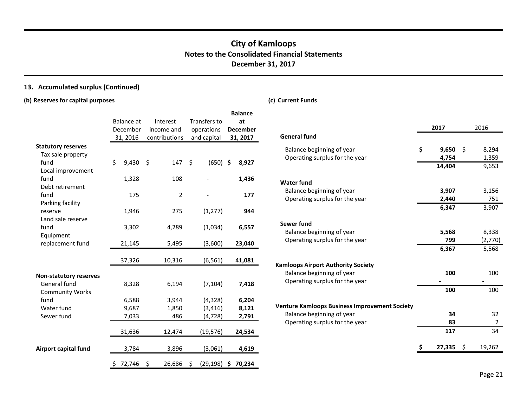### **13. Accumulated surplus (Continued)**

### **(b) Reserves for capital purposes**

### **(c) Current Funds**

|                                | Balance at<br>December<br>31, 2016 | Interest<br>income and<br>contributions |    | <b>Transfers to</b><br>operations<br>and capital | <b>Balance</b><br>at<br><b>December</b><br>31, 2017 |
|--------------------------------|------------------------------------|-----------------------------------------|----|--------------------------------------------------|-----------------------------------------------------|
| <b>Statutory reserves</b>      |                                    |                                         |    |                                                  |                                                     |
| Tax sale property              |                                    |                                         |    |                                                  |                                                     |
| fund                           | \$<br>9,430                        | \$<br>147                               | Ś. | $(650)$ \$                                       | 8,927                                               |
| Local improvement              |                                    |                                         |    |                                                  |                                                     |
| fund                           | 1,328                              | 108                                     |    |                                                  | 1,436                                               |
| Debt retirement                |                                    |                                         |    |                                                  |                                                     |
| fund                           | 175                                | $\overline{2}$                          |    |                                                  | 177                                                 |
| Parking facility<br>reserve    | 1,946                              | 275                                     |    | (1, 277)                                         | 944                                                 |
| Land sale reserve              |                                    |                                         |    |                                                  |                                                     |
| fund                           | 3,302                              | 4,289                                   |    | (1,034)                                          | 6,557                                               |
| Equipment                      |                                    |                                         |    |                                                  |                                                     |
| replacement fund               | 21,145                             | 5,495                                   |    | (3,600)                                          | 23,040                                              |
|                                |                                    |                                         |    |                                                  |                                                     |
|                                | 37,326                             | 10,316                                  |    | (6, 561)                                         | 41,081                                              |
|                                |                                    |                                         |    |                                                  |                                                     |
| <b>Non-statutory reserves</b>  |                                    |                                         |    |                                                  |                                                     |
| General fund                   | 8,328                              | 6,194                                   |    | (7, 104)                                         | 7,418                                               |
| <b>Community Works</b><br>fund |                                    |                                         |    |                                                  |                                                     |
| Water fund                     | 6,588<br>9,687                     | 3,944<br>1,850                          |    | (4, 328)<br>(3, 416)                             | 6,204<br>8,121                                      |
| Sewer fund                     | 7,033                              | 486                                     |    | (4, 728)                                         | 2,791                                               |
|                                |                                    |                                         |    |                                                  |                                                     |
|                                | 31,636                             | 12,474                                  |    | (19,576)                                         | 24,534                                              |
|                                |                                    |                                         |    |                                                  |                                                     |
| Airport capital fund           | 3,784                              | 3,896                                   |    | (3,061)                                          | 4,619                                               |
|                                | \$<br>72,746                       | \$<br>26,686                            | \$ | (29, 198)                                        | \$<br>70,234                                        |

|                                                      | 2017         | 2016         |
|------------------------------------------------------|--------------|--------------|
| <b>General fund</b>                                  |              |              |
| Balance beginning of year                            | \$<br>9,650  | \$<br>8,294  |
| Operating surplus for the year                       | 4,754        | 1,359        |
|                                                      | 14,404       | 9,653        |
| <b>Water fund</b>                                    |              |              |
| Balance beginning of year                            | 3,907        | 3,156        |
| Operating surplus for the year                       | 2,440        | 751          |
|                                                      | 6,347        | 3,907        |
| Sewer fund                                           |              |              |
| Balance beginning of year                            | 5,568        | 8,338        |
| Operating surplus for the year                       | 799          | (2,770)      |
|                                                      | 6,367        | 5,568        |
| <b>Kamloops Airport Authority Society</b>            |              |              |
| Balance beginning of year                            | 100          | 100          |
| Operating surplus for the year                       |              |              |
|                                                      | 100          | 100          |
| <b>Venture Kamloops Business Improvement Society</b> |              |              |
| Balance beginning of year                            | 34           | 32           |
| Operating surplus for the year                       | 83           | 2            |
|                                                      | 117          | 34           |
|                                                      | \$<br>27,335 | \$<br>19,262 |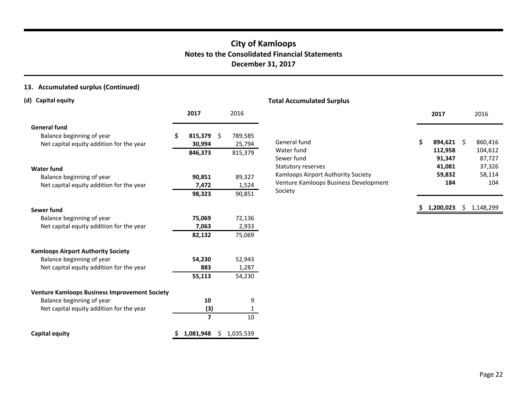### **13. Accumulated surplus (Continued)**

## **(d) Capital equity 2017** 2016 **General fund**Balance beginning of year **\$ 815,379** \$ 789,585 Net capital equity addition for the year **30,994** 25,794 **846,373** 815,379 **Water fund**Balance beginning of year **90,851** 89,327 Net capital equity addition for the year **7,472** 1,524 **98,323** 90,851 **Sewer fund**Balance beginning of year **75,069** 72,136 Net capital equity addition for the year **7,063** 2,933 **82,132** 75,069 **Kamloops Airport Authority Society** Balance beginning of year **54,230** 52,943 Net capital equity addition for the year **883** 1,287 **55,113** 54,230 **Venture Kamloops Business Improvement Society** Balance beginning of year **10** 9 Net capital equity addition for the year **(3)** 1 **7** 10 **Capital equity \$ 1,081,948** \$ 1,035,539

### **Total Accumulated Surplus**

|                                                                                                                                                 | 2017                                         |    | 2016                                         |
|-------------------------------------------------------------------------------------------------------------------------------------------------|----------------------------------------------|----|----------------------------------------------|
| General fund                                                                                                                                    | \$<br>894,621                                | \$ | 860,416                                      |
| Water fund<br>Sewer fund<br><b>Statutory reserves</b><br>Kamloops Airport Authority Society<br>Venture Kamloops Business Development<br>Society | 112,958<br>91,347<br>41,081<br>59,832<br>184 |    | 104,612<br>87,727<br>37,326<br>58,114<br>104 |
|                                                                                                                                                 | 1,200,023                                    | Ś. | 1.148.299                                    |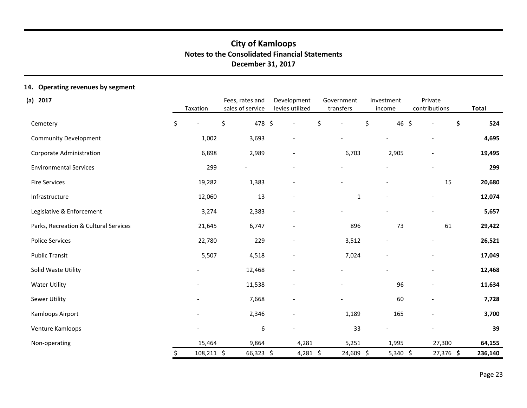### **14. Operating revenues by segment**

| (a) 2017                              |    | Taxation   | Fees, rates and<br>sales of service | Development<br>levies utilized | Government<br>transfers  | Investment<br>income     | Private<br>contributions | <b>Total</b> |
|---------------------------------------|----|------------|-------------------------------------|--------------------------------|--------------------------|--------------------------|--------------------------|--------------|
| Cemetery                              | \$ |            | 478 \$<br>\$                        | $\overline{\phantom{a}}$       | \$<br>$\overline{a}$     | \$                       | 46 \$<br>$\blacksquare$  | \$<br>524    |
| <b>Community Development</b>          |    | 1,002      | 3,693                               |                                |                          |                          |                          | 4,695        |
| Corporate Administration              |    | 6,898      | 2,989                               |                                | 6,703                    | 2,905                    |                          | 19,495       |
| <b>Environmental Services</b>         |    | 299        | $\overline{\phantom{a}}$            |                                |                          |                          | $\overline{\phantom{a}}$ | 299          |
| <b>Fire Services</b>                  |    | 19,282     | 1,383                               |                                | $\overline{\phantom{a}}$ | $\overline{a}$           | 15                       | 20,680       |
| Infrastructure                        |    | 12,060     | 13                                  |                                | $\mathbf{1}$             | $\overline{\phantom{a}}$ |                          | 12,074       |
| Legislative & Enforcement             |    | 3,274      | 2,383                               |                                |                          |                          |                          | 5,657        |
| Parks, Recreation & Cultural Services |    | 21,645     | 6,747                               | $\overline{\phantom{a}}$       | 896                      | 73                       | 61                       | 29,422       |
| <b>Police Services</b>                |    | 22,780     | 229                                 |                                | 3,512                    | $\overline{\phantom{a}}$ |                          | 26,521       |
| <b>Public Transit</b>                 |    | 5,507      | 4,518                               |                                | 7,024                    |                          |                          | 17,049       |
| Solid Waste Utility                   |    |            | 12,468                              |                                |                          |                          |                          | 12,468       |
| <b>Water Utility</b>                  |    |            | 11,538                              |                                |                          | 96                       |                          | 11,634       |
| Sewer Utility                         |    |            | 7,668                               |                                |                          | 60                       |                          | 7,728        |
| Kamloops Airport                      |    |            | 2,346                               |                                | 1,189                    | 165                      |                          | 3,700        |
| Venture Kamloops                      |    |            | 6                                   | $\blacksquare$                 | 33                       | $\overline{\phantom{a}}$ | $\blacksquare$           | 39           |
| Non-operating                         |    | 15,464     | 9,864                               | 4,281                          | 5,251                    | 1,995                    | 27,300                   | 64,155       |
|                                       | Ś. | 108,211 \$ | 66,323 \$                           | 4,281 \$                       | 24,609 \$                | 5,340 \$                 | 27,376 \$                | 236,140      |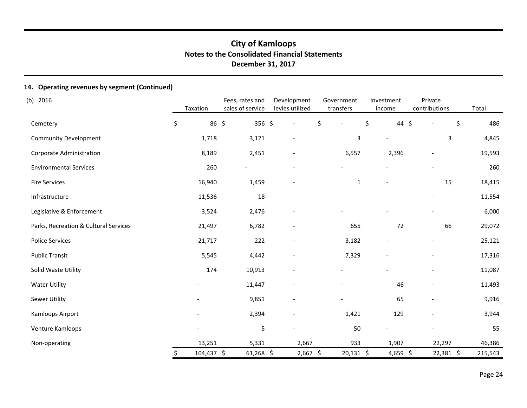### **14. Operating revenues by segment (Continued)**

| (b) $2016$                            |    | Taxation    | Fees, rates and<br>sales of service | Development<br>levies utilized | Government<br>transfers        | Investment<br>income     | Private<br>contributions | Total     |
|---------------------------------------|----|-------------|-------------------------------------|--------------------------------|--------------------------------|--------------------------|--------------------------|-----------|
| Cemetery                              | \$ | $86 \; \xi$ | 356 \$                              | $\overline{\phantom{a}}$       | \$<br>$\overline{\phantom{a}}$ | \$                       | 44 \$<br>$\blacksquare$  | \$<br>486 |
| <b>Community Development</b>          |    | 1,718       | 3,121                               | $\overline{\phantom{a}}$       | $\mathsf 3$                    | $\overline{\phantom{a}}$ | 3                        | 4,845     |
| Corporate Administration              |    | 8,189       | 2,451                               |                                | 6,557                          | 2,396                    |                          | 19,593    |
| <b>Environmental Services</b>         |    | 260         | $\overline{\phantom{a}}$            |                                |                                |                          |                          | 260       |
| <b>Fire Services</b>                  |    | 16,940      | 1,459                               |                                | $\mathbf{1}$                   | $\overline{\phantom{a}}$ | 15                       | 18,415    |
| Infrastructure                        |    | 11,536      | 18                                  |                                |                                |                          |                          | 11,554    |
| Legislative & Enforcement             |    | 3,524       | 2,476                               |                                |                                |                          |                          | 6,000     |
| Parks, Recreation & Cultural Services |    | 21,497      | 6,782                               |                                | 655                            | 72                       | 66                       | 29,072    |
| <b>Police Services</b>                |    | 21,717      | 222                                 |                                | 3,182                          | $\overline{\phantom{a}}$ |                          | 25,121    |
| <b>Public Transit</b>                 |    | 5,545       | 4,442                               |                                | 7,329                          | $\overline{\phantom{a}}$ |                          | 17,316    |
| Solid Waste Utility                   |    | 174         | 10,913                              |                                |                                |                          |                          | 11,087    |
| <b>Water Utility</b>                  |    |             | 11,447                              |                                |                                | 46                       |                          | 11,493    |
| Sewer Utility                         |    |             | 9,851                               |                                |                                | 65                       |                          | 9,916     |
| Kamloops Airport                      |    |             | 2,394                               |                                | 1,421                          | 129                      |                          | 3,944     |
| Venture Kamloops                      |    |             | 5                                   | $\blacksquare$                 | 50                             |                          | $\blacksquare$           | 55        |
| Non-operating                         |    | 13,251      | 5,331                               | 2,667                          | 933                            | 1,907                    | 22,297                   | 46,386    |
|                                       | Ś. | 104,437 \$  | $61,268$ \$                         | $2,667$ \$                     | 20,131 \$                      | 4,659 \$                 | 22,381 \$                | 215,543   |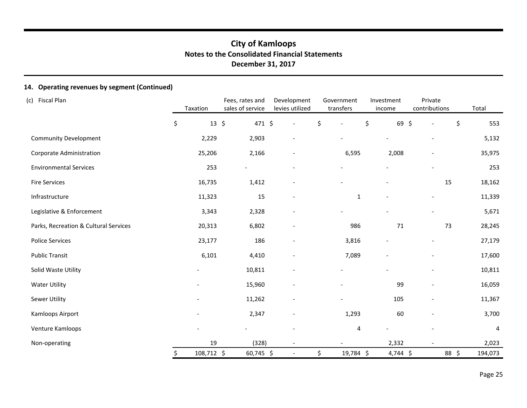### **14. Operating revenues by segment (Continued)**

| (c) Fiscal Plan                       | Taxation          | Fees, rates and<br>sales of service | Development<br>levies utilized | Government<br>transfers  | Investment<br>income     | Private<br>contributions       | Total   |
|---------------------------------------|-------------------|-------------------------------------|--------------------------------|--------------------------|--------------------------|--------------------------------|---------|
|                                       | \$<br>$13 \; \xi$ | 471 \$                              | $\overline{a}$                 | \$                       | \$<br>69 \$              | \$<br>$\overline{\phantom{a}}$ | 553     |
| <b>Community Development</b>          | 2,229             | 2,903                               |                                |                          |                          | $\overline{\phantom{a}}$       | 5,132   |
| Corporate Administration              | 25,206            | 2,166                               |                                | 6,595                    | 2,008                    |                                | 35,975  |
| <b>Environmental Services</b>         | 253               | $\overline{\phantom{a}}$            |                                | $\qquad \qquad -$        |                          | $\overline{\phantom{a}}$       | 253     |
| <b>Fire Services</b>                  | 16,735            | 1,412                               |                                | $\tilde{\phantom{a}}$    | $\overline{\phantom{a}}$ | 15                             | 18,162  |
| Infrastructure                        | 11,323            | 15                                  | $\overline{\phantom{a}}$       | $\mathbf{1}$             | $\overline{\phantom{a}}$ | $\overline{\phantom{a}}$       | 11,339  |
| Legislative & Enforcement             | 3,343             | 2,328                               |                                |                          |                          |                                | 5,671   |
| Parks, Recreation & Cultural Services | 20,313            | 6,802                               |                                | 986                      | 71                       | 73                             | 28,245  |
| <b>Police Services</b>                | 23,177            | 186                                 |                                | 3,816                    |                          |                                | 27,179  |
| <b>Public Transit</b>                 | 6,101             | 4,410                               |                                | 7,089                    | $\overline{\phantom{a}}$ |                                | 17,600  |
| Solid Waste Utility                   |                   | 10,811                              |                                |                          |                          |                                | 10,811  |
| <b>Water Utility</b>                  |                   | 15,960                              |                                | $\overline{\phantom{a}}$ | 99                       |                                | 16,059  |
| <b>Sewer Utility</b>                  |                   | 11,262                              |                                |                          | 105                      |                                | 11,367  |
| Kamloops Airport                      |                   | 2,347                               |                                | 1,293                    | 60                       |                                | 3,700   |
| Venture Kamloops                      |                   |                                     |                                | 4                        |                          |                                | 4       |
| Non-operating                         | 19                | (328)                               |                                |                          | 2,332                    |                                | 2,023   |
|                                       | 108,712 \$<br>\$  | $60,745$ \$                         | $\overline{\phantom{a}}$       | \$<br>19,784 \$          | 4,744 \$                 | 88 \$                          | 194,073 |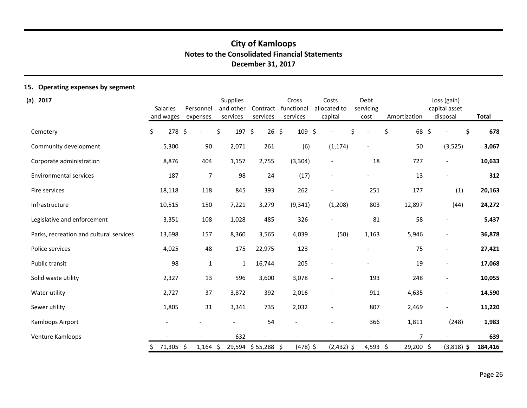### **15. Operating expenses by segment**

| (a) 2017                                | Salaries<br>and wages | Personnel<br>expenses    | <b>Supplies</b><br>and other<br>services | Contract<br>services | Cross<br>functional<br>services | Costs<br>allocated to<br>capital | Debt<br>servicing<br>cost | Amortization | Loss (gain)<br>capital asset<br>disposal | <b>Total</b> |
|-----------------------------------------|-----------------------|--------------------------|------------------------------------------|----------------------|---------------------------------|----------------------------------|---------------------------|--------------|------------------------------------------|--------------|
| Cemetery                                | \$<br>278 \$          | $\overline{\phantom{a}}$ | \$<br>$197 \;$ \$                        | $26 \; \xi$          | 109 \$                          | $\overline{\phantom{a}}$         | \$                        | \$<br>68 \$  | \$<br>$\blacksquare$                     | 678          |
| Community development                   | 5,300                 | 90                       | 2,071                                    | 261                  | (6)                             | (1, 174)                         |                           | 50           | (3, 525)                                 | 3,067        |
| Corporate administration                | 8,876                 | 404                      | 1,157                                    | 2,755                | (3, 304)                        |                                  | 18                        | 727          |                                          | 10,633       |
| <b>Environmental services</b>           | 187                   | 7                        | 98                                       | 24                   | (17)                            | $\overline{\phantom{a}}$         |                           | 13           | $\overline{\phantom{a}}$                 | 312          |
| Fire services                           | 18,118                | 118                      | 845                                      | 393                  | 262                             |                                  | 251                       | 177          | (1)                                      | 20,163       |
| Infrastructure                          | 10,515                | 150                      | 7,221                                    | 3,279                | (9, 341)                        | (1, 208)                         | 803                       | 12,897       | (44)                                     | 24,272       |
| Legislative and enforcement             | 3,351                 | 108                      | 1,028                                    | 485                  | 326                             |                                  | 81                        | 58           |                                          | 5,437        |
| Parks, recreation and cultural services | 13,698                | 157                      | 8,360                                    | 3,565                | 4,039                           | (50)                             | 1,163                     | 5,946        |                                          | 36,878       |
| Police services                         | 4,025                 | 48                       | 175                                      | 22,975               | 123                             |                                  | $\overline{\phantom{m}}$  | 75           | $\overline{\phantom{a}}$                 | 27,421       |
| Public transit                          | 98                    | $\mathbf{1}$             | $\mathbf{1}$                             | 16,744               | 205                             |                                  |                           | 19           | $\overline{\phantom{a}}$                 | 17,068       |
| Solid waste utility                     | 2,327                 | 13                       | 596                                      | 3,600                | 3,078                           |                                  | 193                       | 248          |                                          | 10,055       |
| Water utility                           | 2,727                 | 37                       | 3,872                                    | 392                  | 2,016                           | $\overline{\phantom{a}}$         | 911                       | 4,635        | $\overline{\phantom{a}}$                 | 14,590       |
| Sewer utility                           | 1,805                 | 31                       | 3,341                                    | 735                  | 2,032                           | $\overline{\phantom{a}}$         | 807                       | 2,469        |                                          | 11,220       |
| Kamloops Airport                        |                       |                          |                                          | 54                   |                                 |                                  | 366                       | 1,811        | (248)                                    | 1,983        |
| Venture Kamloops                        |                       |                          | 632                                      |                      |                                 |                                  |                           | 7            |                                          | 639          |
|                                         | 71,305 \$             | $1,164$ \$               |                                          | 29,594 \$55,288 \$   | $(478)$ \$                      | $(2,432)$ \$                     | 4,593 \$                  | 29,200 \$    | $(3,818)$ \$                             | 184,416      |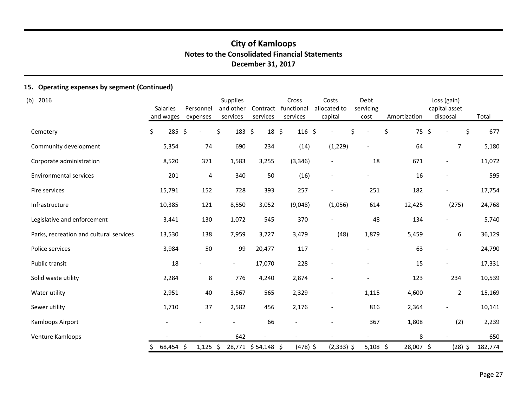### **15. Operating expenses by segment (Continued)**

| $(b)$ 2016                              | <b>Salaries</b><br>and wages | Personnel<br>expenses    | <b>Supplies</b><br>and other<br>services | Contract<br>services | Cross<br>functional<br>services | Costs<br>allocated to<br>capital | Debt<br>servicing<br>cost | Amortization  | Loss (gain)<br>capital asset<br>disposal | Total   |
|-----------------------------------------|------------------------------|--------------------------|------------------------------------------|----------------------|---------------------------------|----------------------------------|---------------------------|---------------|------------------------------------------|---------|
| Cemetery                                | \$<br>$285$ \$               | $\overline{\phantom{a}}$ | \$<br>183                                | \$<br>$18 \; \xi$    | $116$ \$                        | $\blacksquare$                   | \$<br>$\overline{a}$      | \$<br>$75$ \$ | \$<br>$\blacksquare$                     | 677     |
| Community development                   | 5,354                        | 74                       | 690                                      | 234                  | (14)                            | (1, 229)                         |                           | 64            | $\overline{7}$                           | 5,180   |
| Corporate administration                | 8,520                        | 371                      | 1,583                                    | 3,255                | (3, 346)                        | $\overline{\phantom{a}}$         | 18                        | 671           | $\overline{\phantom{a}}$                 | 11,072  |
| <b>Environmental services</b>           | 201                          | 4                        | 340                                      | 50                   | (16)                            | $\blacksquare$                   |                           | 16            | $\overline{\phantom{a}}$                 | 595     |
| Fire services                           | 15,791                       | 152                      | 728                                      | 393                  | 257                             | $\blacksquare$                   | 251                       | 182           |                                          | 17,754  |
| Infrastructure                          | 10,385                       | 121                      | 8,550                                    | 3,052                | (9,048)                         | (1,056)                          | 614                       | 12,425        | (275)                                    | 24,768  |
| Legislative and enforcement             | 3,441                        | 130                      | 1,072                                    | 545                  | 370                             | $\overline{\phantom{a}}$         | 48                        | 134           |                                          | 5,740   |
| Parks, recreation and cultural services | 13,530                       | 138                      | 7,959                                    | 3,727                | 3,479                           | (48)                             | 1,879                     | 5,459         | 6                                        | 36,129  |
| Police services                         | 3,984                        | 50                       | 99                                       | 20,477               | 117                             |                                  | $\overline{\phantom{0}}$  | 63            | $\overline{\phantom{a}}$                 | 24,790  |
| Public transit                          | 18                           |                          | $\overline{\phantom{a}}$                 | 17,070               | 228                             |                                  | $\overline{\phantom{a}}$  | 15            |                                          | 17,331  |
| Solid waste utility                     | 2,284                        | 8                        | 776                                      | 4,240                | 2,874                           |                                  | $\overline{a}$            | 123           | 234                                      | 10,539  |
| Water utility                           | 2,951                        | 40                       | 3,567                                    | 565                  | 2,329                           | $\overline{\phantom{a}}$         | 1,115                     | 4,600         | $\overline{2}$                           | 15,169  |
| Sewer utility                           | 1,710                        | 37                       | 2,582                                    | 456                  | 2,176                           | $\overline{\phantom{a}}$         | 816                       | 2,364         |                                          | 10,141  |
| Kamloops Airport                        |                              |                          |                                          | 66                   |                                 |                                  | 367                       | 1,808         | (2)                                      | 2,239   |
| Venture Kamloops                        |                              |                          | 642                                      |                      |                                 |                                  | $\overline{\phantom{0}}$  | 8             |                                          | 650     |
|                                         | 68,454 \$                    | $1,125$ \$               |                                          | 28,771 \$54,148 \$   | $(478)$ \$                      | $(2,333)$ \$                     | $5,108$ \$                | 28,007 \$     | $(28)$ \$                                | 182,774 |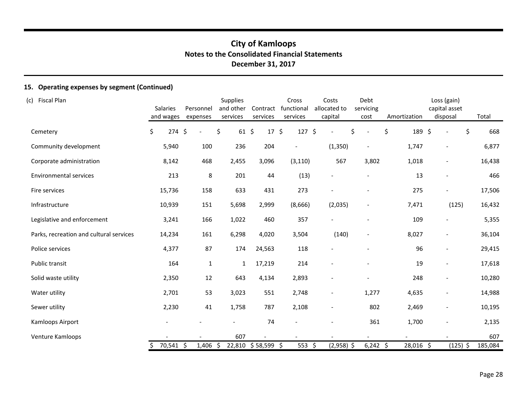### **15. Operating expenses by segment (Continued)**

| (c) Fiscal Plan                         | <b>Salaries</b><br>and wages | Personnel<br>expenses | Supplies<br>and other<br>services | Contract<br>services | Cross<br>functional<br>services | Costs<br>allocated to<br>capital | Debt<br>servicing<br>cost | Amortization | Loss (gain)<br>capital asset<br>disposal | Total   |
|-----------------------------------------|------------------------------|-----------------------|-----------------------------------|----------------------|---------------------------------|----------------------------------|---------------------------|--------------|------------------------------------------|---------|
| Cemetery                                | \$<br>$274$ \$               |                       | $61 \;$ \$<br>\$                  | $17 \; \text{S}$     | $127$ \$                        | $\overline{\phantom{a}}$         | \$                        | \$<br>189 \$ | \$<br>$\overline{\phantom{a}}$           | 668     |
| Community development                   | 5,940                        | 100                   | 236                               | 204                  |                                 | (1, 350)                         |                           | 1,747        | $\overline{\phantom{0}}$                 | 6,877   |
| Corporate administration                | 8,142                        | 468                   | 2,455                             | 3,096                | (3, 110)                        | 567                              | 3,802                     | 1,018        | $\overline{\phantom{0}}$                 | 16,438  |
| <b>Environmental services</b>           | 213                          | 8                     | 201                               | 44                   | (13)                            |                                  |                           | 13           | $\overline{\phantom{0}}$                 | 466     |
| Fire services                           | 15,736                       | 158                   | 633                               | 431                  | 273                             |                                  |                           | 275          |                                          | 17,506  |
| Infrastructure                          | 10,939                       | 151                   | 5,698                             | 2,999                | (8,666)                         | (2,035)                          |                           | 7,471        | (125)                                    | 16,432  |
| Legislative and enforcement             | 3,241                        | 166                   | 1,022                             | 460                  | 357                             | $\qquad \qquad \blacksquare$     |                           | 109          |                                          | 5,355   |
| Parks, recreation and cultural services | 14,234                       | 161                   | 6,298                             | 4,020                | 3,504                           | (140)                            |                           | 8,027        | $\qquad \qquad \blacksquare$             | 36,104  |
| Police services                         | 4,377                        | 87                    | 174                               | 24,563               | 118                             |                                  |                           | 96           | $\qquad \qquad \blacksquare$             | 29,415  |
| Public transit                          | 164                          | $\mathbf 1$           | $\mathbf{1}$                      | 17,219               | 214                             |                                  |                           | 19           | $\overline{a}$                           | 17,618  |
| Solid waste utility                     | 2,350                        | 12                    | 643                               | 4,134                | 2,893                           |                                  |                           | 248          | $\overline{\phantom{a}}$                 | 10,280  |
| Water utility                           | 2,701                        | 53                    | 3,023                             | 551                  | 2,748                           |                                  | 1,277                     | 4,635        |                                          | 14,988  |
| Sewer utility                           | 2,230                        | 41                    | 1,758                             | 787                  | 2,108                           | $\qquad \qquad \blacksquare$     | 802                       | 2,469        | $\overline{\phantom{0}}$                 | 10,195  |
| Kamloops Airport                        |                              |                       |                                   | 74                   |                                 |                                  | 361                       | 1,700        | $\overline{a}$                           | 2,135   |
| Venture Kamloops                        |                              |                       | 607                               |                      |                                 |                                  |                           |              |                                          | 607     |
|                                         | 70,541 \$                    | $1,406$ \$            |                                   | 22,810 \$58,599 \$   | 553 \$                          | $(2,958)$ \$                     | $6,242$ \$                | 28,016 \$    | $(125)$ \$                               | 185,084 |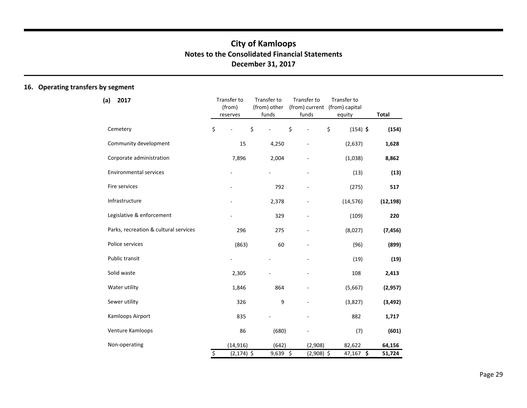### **16. Operating transfers by segment**

| (a)<br>2017                           |                  | Transfer to<br>(from)<br>reserves | Transfer to<br>(from) other<br>funds | Transfer to<br>(from) current (from) capital<br>funds | Transfer to<br>equity | <b>Total</b> |
|---------------------------------------|------------------|-----------------------------------|--------------------------------------|-------------------------------------------------------|-----------------------|--------------|
| Cemetery                              | \$               | ä,                                | \$<br>ä,                             | \$                                                    | \$<br>$(154)$ \$      |              |
|                                       |                  |                                   |                                      | ÷,                                                    |                       | (154)        |
| Community development                 |                  | 15                                | 4,250                                | $\overline{\phantom{a}}$                              | (2,637)               | 1,628        |
| Corporate administration              |                  | 7,896                             | 2,004                                |                                                       | (1,038)               | 8,862        |
| <b>Environmental services</b>         |                  |                                   |                                      |                                                       | (13)                  | (13)         |
| Fire services                         |                  |                                   | 792                                  |                                                       | (275)                 | 517          |
| Infrastructure                        |                  |                                   | 2,378                                |                                                       | (14, 576)             | (12, 198)    |
| Legislative & enforcement             |                  | Ĭ.                                | 329                                  |                                                       | (109)                 | 220          |
| Parks, recreation & cultural services |                  | 296                               | 275                                  |                                                       | (8,027)               | (7, 456)     |
| Police services                       |                  | (863)                             | 60                                   | ä,                                                    | (96)                  | (899)        |
| Public transit                        |                  |                                   |                                      |                                                       | (19)                  | (19)         |
| Solid waste                           |                  | 2,305                             |                                      |                                                       | 108                   | 2,413        |
| Water utility                         |                  | 1,846                             | 864                                  |                                                       | (5,667)               | (2,957)      |
| Sewer utility                         |                  | 326                               | 9                                    |                                                       | (3,827)               | (3, 492)     |
| Kamloops Airport                      |                  | 835                               |                                      |                                                       | 882                   | 1,717        |
| Venture Kamloops                      |                  | 86                                | (680)                                |                                                       | (7)                   | (601)        |
| Non-operating                         |                  | (14, 916)                         | (642)                                | (2,908)                                               | 82,622                | 64,156       |
|                                       | $\overline{\xi}$ | $(2, 174)$ \$                     | $9,639$ \$                           | $(2,908)$ \$                                          | 47,167 \$             | 51,724       |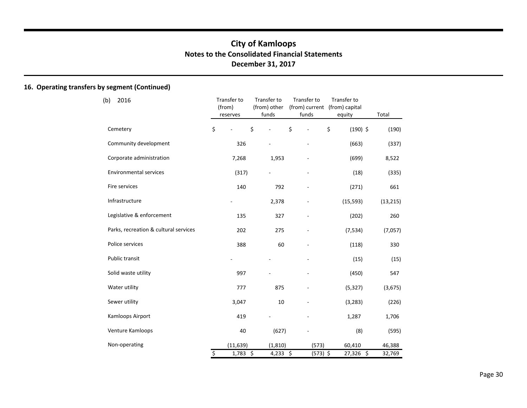### **16. Operating transfers by segment (Continued)**

| (b)<br>2016                           |                  | Transfer to<br>(from)<br>reserves | funds | Transfer to<br>(from) other | Transfer to<br>(from) current (from) capital<br>funds | Transfer to<br>equity |                     | Total            |
|---------------------------------------|------------------|-----------------------------------|-------|-----------------------------|-------------------------------------------------------|-----------------------|---------------------|------------------|
| Cemetery                              | \$               | ä,                                | \$    | ÷                           | \$<br>÷,                                              | \$                    | $(190)$ \$          | (190)            |
| Community development                 |                  | 326                               |       |                             |                                                       |                       | (663)               | (337)            |
| Corporate administration              |                  | 7,268                             |       | 1,953                       |                                                       |                       | (699)               | 8,522            |
| <b>Environmental services</b>         |                  | (317)                             |       |                             |                                                       |                       | (18)                | (335)            |
| Fire services                         |                  | 140                               |       | 792                         |                                                       |                       | (271)               | 661              |
| Infrastructure                        |                  |                                   |       | 2,378                       |                                                       |                       | (15, 593)           | (13, 215)        |
| Legislative & enforcement             |                  | 135                               |       | 327                         | ÷                                                     |                       | (202)               | 260              |
| Parks, recreation & cultural services |                  | 202                               |       | 275                         | ä,                                                    |                       | (7, 534)            | (7,057)          |
| Police services                       |                  | 388                               |       | 60                          | ä,                                                    |                       | (118)               | 330              |
| Public transit                        |                  |                                   |       |                             |                                                       |                       | (15)                | (15)             |
| Solid waste utility                   |                  | 997                               |       |                             |                                                       |                       | (450)               | 547              |
| Water utility                         |                  | 777                               |       | 875                         |                                                       |                       | (5, 327)            | (3,675)          |
| Sewer utility                         |                  | 3,047                             |       | 10                          |                                                       |                       | (3, 283)            | (226)            |
| Kamloops Airport                      |                  | 419                               |       |                             |                                                       |                       | 1,287               | 1,706            |
| Venture Kamloops                      |                  | 40                                |       | (627)                       |                                                       |                       | (8)                 | (595)            |
| Non-operating                         | $\overline{\xi}$ | (11, 639)<br>1,783 \$             |       | (1, 810)<br>$4,233$ \$      | (573)<br>$(573)$ \$                                   |                       | 60,410<br>27,326 \$ | 46,388<br>32,769 |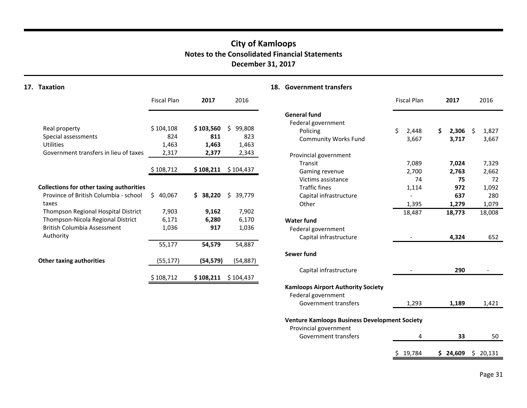#### **17. Taxation**

|                                                                                                   | <b>Fiscal Plan</b>                 | 2017                               | 2016                                   |
|---------------------------------------------------------------------------------------------------|------------------------------------|------------------------------------|----------------------------------------|
| Real property<br>Special assessments<br><b>Utilities</b><br>Government transfers in lieu of taxes | \$104,108<br>824<br>1,463<br>2,317 | \$103,560<br>811<br>1,463<br>2,377 | \$.<br>99,808<br>823<br>1,463<br>2,343 |
|                                                                                                   | \$108,712                          | \$108,211                          | \$104,437                              |
| Collections for other taxing authorities                                                          |                                    |                                    |                                        |
| Province of British Columbia - school<br>taxes                                                    | Ś.<br>40,067                       | \$38,220                           | \$<br>39,779                           |
| Thompson Regional Hospital District                                                               | 7,903                              | 9,162                              | 7,902                                  |
| Thompson-Nicola Regional District                                                                 | 6,171                              | 6,280                              | 6,170                                  |
| <b>British Columbia Assessment</b><br>Authority                                                   | 1,036                              | 917                                | 1,036                                  |
|                                                                                                   | 55,177                             | 54,579                             | 54,887                                 |
| <b>Other taxing authorities</b>                                                                   | (55,177)                           | (54,579)                           | (54,887)                               |
|                                                                                                   | \$108,712                          | \$108,211                          | \$104,437                              |

#### **18. Government transfers**

|                                                                               | <b>Fiscal Plan</b> | 2017        | 2016        |
|-------------------------------------------------------------------------------|--------------------|-------------|-------------|
| <b>General fund</b>                                                           |                    |             |             |
| Federal government                                                            |                    |             |             |
| Policing                                                                      | \$<br>2,448        | Ś.<br>2,306 | Ś.<br>1,827 |
| <b>Community Works Fund</b>                                                   | 3,667              | 3,717       | 3,667       |
| Provincial government                                                         |                    |             |             |
| Transit                                                                       | 7,089              | 7,024       | 7,329       |
| Gaming revenue                                                                | 2,700              | 2,763       | 2,662       |
| Victims assistance                                                            | 74                 | 75          | 72          |
| <b>Traffic fines</b>                                                          | 1,114              | 972         | 1,092       |
| Capital infrastructure                                                        |                    | 637         | 280         |
| Other                                                                         | 1,395              | 1,279       | 1,079       |
|                                                                               | 18,487             | 18,773      | 18,008      |
| <b>Water fund</b>                                                             |                    |             |             |
| Federal government                                                            |                    |             |             |
| Capital infrastructure                                                        |                    | 4,324       | 652         |
| Sewer fund                                                                    |                    |             |             |
| Capital infrastructure                                                        |                    | 290         |             |
| <b>Kamloops Airport Authority Society</b><br>Federal government               |                    |             |             |
| Government transfers                                                          | 1,293              | 1,189       | 1,421       |
| <b>Venture Kamloops Business Development Society</b><br>Provincial government |                    |             |             |
| Government transfers                                                          | 4                  | 33          | 50          |
|                                                                               | 19,784             | \$24,609    | \$20,131    |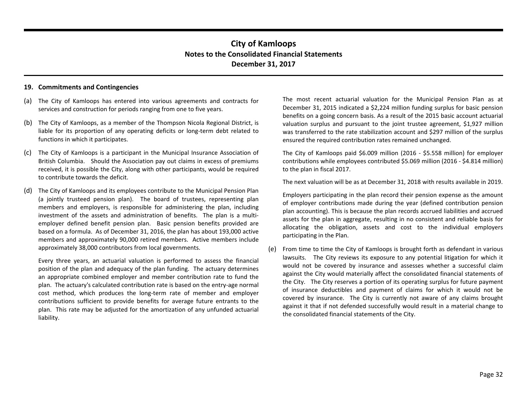### **19. Commitments and Contingencies**

- (a) The City of Kamloops has entered into various agreements and contracts for services and construction for periods ranging from one to five years.
- (b) The City of Kamloops, as a member of the Thompson Nicola Regional District, is liable for its proportion of any operating deficits or long-term debt related to functions in which it participates.
- (c) The City of Kamloops is a participant in the Municipal Insurance Association of British Columbia. Should the Association pay out claims in excess of premiums received, it is possible the City, along with other participants, would be required to contribute towards the deficit.
- (d) The City of Kamloops and its employees contribute to the Municipal Pension Plan (a jointly trusteed pension plan). The board of trustees, representing plan members and employers, is responsible for administering the plan, including investment of the assets and administration of benefits. The plan is a multiemployer defined benefit pension plan. Basic pension benefits provided are based on a formula. As of December 31, 2016, the plan has about 193,000 active members and approximately 90,000 retired members. Active members include approximately 38,000 contributors from local governments.

Every three years, an actuarial valuation is performed to assess the financial position of the plan and adequacy of the plan funding. The actuary determines an appropriate combined employer and member contribution rate to fund the plan. The actuary's calculated contribution rate is based on the entry-age normal cost method, which produces the long-term rate of member and employer contributions sufficient to provide benefits for average future entrants to the plan. This rate may be adjusted for the amortization of any unfunded actuarial liability.

The most recent actuarial valuation for the Municipal Pension Plan as at December 31, 2015 indicated a \$2,224 million funding surplus for basic pension benefits on a going concern basis. As a result of the 2015 basic account actuarial valuation surplus and pursuant to the joint trustee agreement, \$1,927 million was transferred to the rate stabilization account and \$297 million of the surplus ensured the required contribution rates remained unchanged.

The City of Kamloops paid \$6.009 million (2016 - \$5.558 million) for employer contributions while employees contributed \$5.069 million (2016 - \$4.814 million) to the plan in fiscal 2017.

The next valuation will be as at December 31, 2018 with results available in 2019.

Employers participating in the plan record their pension expense as the amount of employer contributions made during the year (defined contribution pension plan accounting). This is because the plan records accrued liabilities and accrued assets for the plan in aggregate, resulting in no consistent and reliable basis for allocating the obligation, assets and cost to the individual employers participating in the Plan.

(e) From time to time the City of Kamloops is brought forth as defendant in various lawsuits. The City reviews its exposure to any potential litigation for which it would not be covered by insurance and assesses whether a successful claim against the City would materially affect the consolidated financial statements of the City. The City reserves a portion of its operating surplus for future payment of insurance deductibles and payment of claims for which it would not be covered by insurance. The City is currently not aware of any claims brought against it that if not defended successfully would result in a material change to the consolidated financial statements of the City.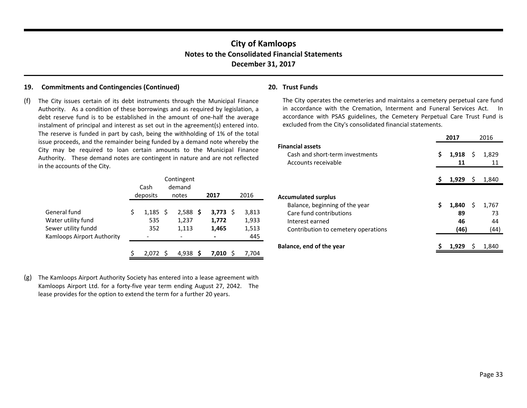### **19. Commitments and Contingencies (Continued)**

(f) The City issues certain of its debt instruments through the Municipal Finance Authority. As a condition of these borrowings and as required by legislation, a debt reserve fund is to be established in the amount of one-half the average instalment of principal and interest as set out in the agreement(s) entered into. The reserve is funded in part by cash, being the withholding of 1% of the total issue proceeds, and the remainder being funded by a demand note whereby the City may be required to loan certain amounts to the Municipal Finance Authority. These demand notes are contingent in nature and are not reflected in the accounts of the City.

|                            |            |       | Contingent |      |                        |  |       |
|----------------------------|------------|-------|------------|------|------------------------|--|-------|
|                            | Cash       |       | demand     |      |                        |  |       |
|                            | deposits   | notes |            | 2017 |                        |  | 2016  |
|                            |            |       |            |      |                        |  |       |
| General fund               | $1,185$ \$ |       | $2,588$ \$ |      | $3,773 \quad \text{S}$ |  | 3,813 |
| Water utility fund         | 535        |       | 1,237      |      | 1,772                  |  | 1,933 |
| Sewer utility fundd        | 352        |       | 1,113      |      | 1,465                  |  | 1,513 |
| Kamloops Airport Authority |            |       |            |      | -                      |  | 445   |
|                            |            |       |            |      |                        |  |       |
|                            | 2,072      | - S   | 4,938      |      | 7,010                  |  | 7.704 |

(g) The Kamloops Airport Authority Society has entered into a lease agreement with Kamloops Airport Ltd. for a forty-five year term ending August 27, 2042. The lease provides for the option to extend the term for a further 20 years.

### **20. Trust Funds**

The City operates the cemeteries and maintains a cemetery perpetual care fund in accordance with the Cremation, Interment and Funeral Services Act. In accordance with PSAS guidelines, the Cemetery Perpetual Care Trust Fund is excluded from the City's consolidated financial statements.

|                                                                                   |    | 2017        |     | 2016        |
|-----------------------------------------------------------------------------------|----|-------------|-----|-------------|
| <b>Financial assets</b><br>Cash and short-term investments<br>Accounts receivable | Ś. | 1,918<br>11 | \$. | 1,829<br>11 |
|                                                                                   | S  | 1,929       | \$. | 1,840       |
| <b>Accumulated surplus</b>                                                        |    |             |     |             |
| Balance, beginning of the year                                                    | Ś. | 1,840       | S.  | 1,767       |
| Care fund contributions                                                           |    | 89          |     | 73          |
| Interest earned                                                                   |    | 46          |     | 44          |
| Contribution to cemetery operations                                               |    | (46)        |     | (44)        |
|                                                                                   |    |             |     |             |
| Balance, end of the year                                                          |    | 1.929       | S   | 1.840       |
|                                                                                   |    |             |     |             |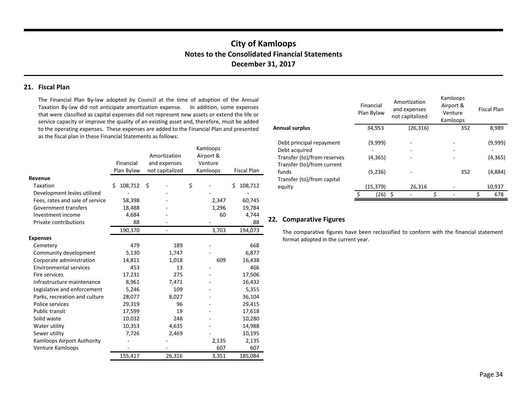#### **21. Fiscal Plan**

The Financial Plan By-law adopted by Council at the time of adoption of the Annual Taxation By-law did not anticipate amortization expense. In addition, some expenses that were classified as capital expenses did not represent new assets or extend the life or service capacity or improve the quality of an existing asset and, therefore, must be added to the operating expenses. These expenses are added to the Financial Plan and presented as the fiscal plan in these Financial Statements as follows:

|                                 | Financial<br>Plan Bylaw | Kamloops<br>Amortization<br>Airport &<br>and expenses<br>Venture<br>not capitalized<br>Kamloops |       | <b>Fiscal Plan</b> |
|---------------------------------|-------------------------|-------------------------------------------------------------------------------------------------|-------|--------------------|
| Revenue                         |                         |                                                                                                 |       |                    |
| Taxation                        | Ś.<br>108,712           | \$                                                                                              | \$    | 108,712<br>Ś.      |
| Development levies utilized     |                         |                                                                                                 |       |                    |
| Fees, rates and sale of service | 58,398                  |                                                                                                 | 2,347 | 60,745             |
| Government transfers            | 18,488                  |                                                                                                 | 1,296 | 19,784             |
| Investment income               | 4,684                   |                                                                                                 | 60    | 4,744              |
| Private contributions           | 88                      |                                                                                                 |       | 88                 |
|                                 | 190,370                 | $\overline{\phantom{m}}$                                                                        | 3,703 | 194,073            |
| <b>Expenses</b>                 |                         |                                                                                                 |       |                    |
| Cemetery                        | 479                     | 189                                                                                             |       | 668                |
| Community development           | 5,130                   | 1,747                                                                                           |       | 6,877              |
| Corporate administration        | 14,811                  | 1,018                                                                                           | 609   | 16,438             |
| <b>Environmental services</b>   | 453                     | 13                                                                                              |       | 466                |
| Fire services                   | 17,231                  | 275                                                                                             |       | 17,506             |
| Infrastructure maintenance      | 8,961                   | 7,471                                                                                           |       | 16,432             |
| Legislative and enforcement     | 5,246                   | 109                                                                                             |       | 5,355              |
| Parks, recreation and culture   | 28,077                  | 8,027                                                                                           |       | 36,104             |
| Police services                 | 29,319                  | 96                                                                                              |       | 29,415             |
| <b>Public transit</b>           | 17,599                  | 19                                                                                              |       | 17,618             |
| Solid waste                     | 10,032                  | 248                                                                                             |       | 10,280             |
| Water utility                   | 10,353                  | 4,635                                                                                           |       | 14,988             |
| Sewer utility                   | 7,726                   | 2,469                                                                                           |       | 10,195             |
| Kamloops Airport Authority      |                         |                                                                                                 | 2,135 | 2,135              |
| Venture Kamloops                |                         |                                                                                                 | 607   | 607                |
|                                 | 155,417                 | 26,316                                                                                          | 3,351 | 185,084            |

|                                                                                                                                                         |  | Financial<br>Plan Bylaw |    | Amortization<br>and expenses<br>not capitalized |    | Kamloops<br>Airport &<br>Venture<br>Kamloops |   | <b>Fiscal Plan</b> |  |  |
|---------------------------------------------------------------------------------------------------------------------------------------------------------|--|-------------------------|----|-------------------------------------------------|----|----------------------------------------------|---|--------------------|--|--|
| <b>Annual surplus</b>                                                                                                                                   |  | 34,953                  |    | (26, 316)                                       |    | 352                                          |   | 8,989              |  |  |
| Debt principal repayment<br>Debt acquired<br>Transfer (to)/from reserves<br>Transfer (to)/from current<br>funds<br>Transfer (to)/from capital<br>equity |  | (9,999)                 |    |                                                 |    |                                              |   | (9,999)            |  |  |
|                                                                                                                                                         |  | (4, 365)                |    |                                                 |    |                                              |   | (4, 365)           |  |  |
|                                                                                                                                                         |  | (5,236)                 |    |                                                 |    | 352                                          |   | (4,884)            |  |  |
|                                                                                                                                                         |  | (15, 379)               |    | 26,316                                          |    |                                              |   | 10,937             |  |  |
|                                                                                                                                                         |  | (26)                    | \$ |                                                 | Ś. |                                              | Ś | 678                |  |  |

### **22. Comparative Figures**

The comparative figures have been reclassified to conform with the financial statement format adopted in the current year.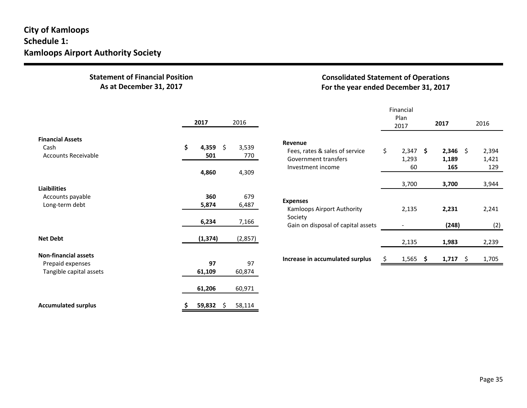## **City of Kamloops Schedule 1: Kamloops Airport Authority Society**

## **Statement of Financial PositionAs at December 31, 2017**

## **Consolidated Statement of Operations For the year ended December 31, 2017**

|                                                                            | 2017 |                             | 2016                   |                                                                                                |    | Financial<br>Plan<br>2017 | 2017                    |    | 2016                  |  |
|----------------------------------------------------------------------------|------|-----------------------------|------------------------|------------------------------------------------------------------------------------------------|----|---------------------------|-------------------------|----|-----------------------|--|
| <b>Financial Assets</b><br>Cash<br><b>Accounts Receivable</b>              | \$   | 4,359<br>\$<br>501<br>4,860 | 3,539<br>770<br>4,309  | Revenue<br>Fees, rates & sales of service<br>Government transfers<br>Investment income         | \$ | $2,347$ \$<br>1,293<br>60 | 2,346<br>1,189<br>165   | \$ | 2,394<br>1,421<br>129 |  |
| Liaibilities<br>Accounts payable<br>Long-term debt                         |      | 360<br>5,874<br>6,234       | 679<br>6,487<br>7,166  | <b>Expenses</b><br>Kamloops Airport Authority<br>Society<br>Gain on disposal of capital assets |    | 3,700<br>2,135            | 3,700<br>2,231<br>(248) |    | 3,944<br>2,241<br>(2) |  |
| <b>Net Debt</b>                                                            |      | (1, 374)                    | (2,857)                |                                                                                                |    | 2,135                     | 1,983                   |    | 2,239                 |  |
| <b>Non-financial assets</b><br>Prepaid expenses<br>Tangible capital assets |      | 97<br>61,109<br>61,206      | 97<br>60,874<br>60,971 | Increase in accumulated surplus                                                                | Ş  | 1,565                     | 1,717<br>\$             | -S | 1,705                 |  |
| <b>Accumulated surplus</b>                                                 | \$   | 59,832<br>S                 | 58,114                 |                                                                                                |    |                           |                         |    |                       |  |